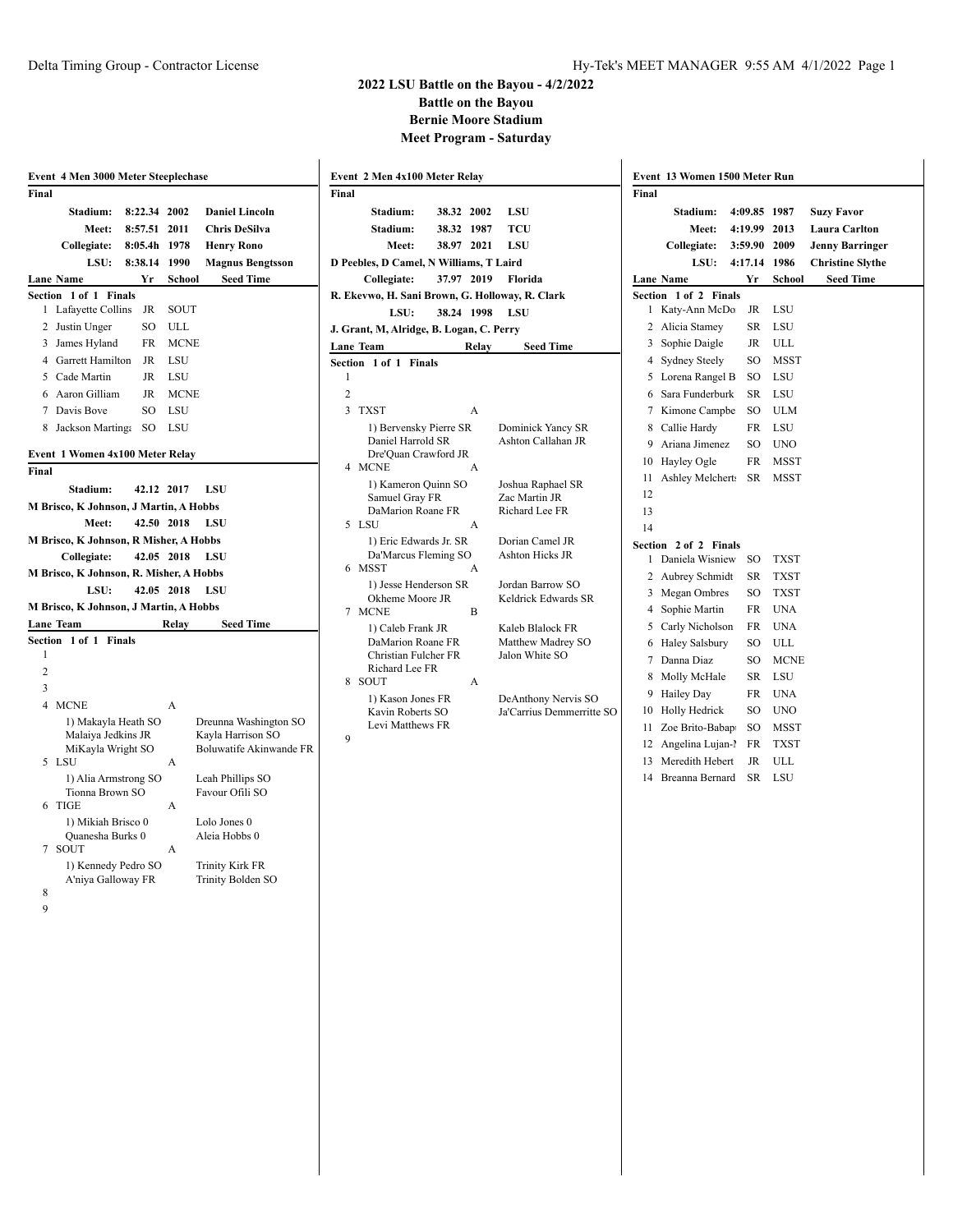#### Delta Timing Group - Contractor License **Hy-Tek's MEET MANAGER** 9:55 AM 4/1/2022 Page 1

|                | Event 4 Men 3000 Meter Steeplechase     |            |             |                                              |
|----------------|-----------------------------------------|------------|-------------|----------------------------------------------|
| Final          |                                         |            |             |                                              |
|                | Stadium:                                | 8:22.34    | 2002        | <b>Daniel Lincoln</b>                        |
|                | Meet:                                   | 8:57.51    | 2011        | <b>Chris DeSilva</b>                         |
|                | Collegiate:                             | 8:05.4h    | 1978        | <b>Henry Rono</b>                            |
|                | LSU:                                    | 8:38.14    | 1990        | <b>Magnus Bengtsson</b>                      |
|                | Lane Name                               | Yr         | School      | <b>Seed Time</b>                             |
| Section        | 1 of 1<br><b>Finals</b>                 |            |             |                                              |
| 1              | Lafayette Collins                       | JR         | SOUT        |                                              |
| 2              | Justin Unger                            | SO         | ULL         |                                              |
| 3              | James Hyland                            | FR         | <b>MCNE</b> |                                              |
|                | 4 Garrett Hamilton                      | JR         | LSU         |                                              |
|                | 5 Cade Martin                           | JR         | LSU         |                                              |
|                | 6 Aaron Gilliam                         | JR         | MCNE        |                                              |
|                | 7 Davis Bove                            | SO         | LSU         |                                              |
| 8              | Jackson Martinga                        | SO         | LSU         |                                              |
|                |                                         |            |             |                                              |
|                | Event 1 Women 4x100 Meter Relay         |            |             |                                              |
| Final          |                                         |            |             |                                              |
|                | Stadium:                                | 42.12 2017 |             | LSU                                          |
|                | M Brisco, K Johnson, J Martin, A Hobbs  |            |             |                                              |
|                | Meet:                                   | 42.50 2018 |             | LSU                                          |
|                | M Brisco, K Johnson, R Misher, A Hobbs  |            |             |                                              |
|                | Collegiate:                             | 42.05      | 2018        | LSU                                          |
|                | M Brisco, K Johnson, R. Misher, A Hobbs |            |             |                                              |
|                | LSU:                                    | 42.05      | 2018        | LSU                                          |
|                | M Brisco, K Johnson, J Martin, A Hobbs  |            |             |                                              |
|                | Lane Team                               |            | Relay       | <b>Seed Time</b>                             |
| Section        | $1$ of $1$<br><b>Finals</b>             |            |             |                                              |
| 1              |                                         |            |             |                                              |
| 2              |                                         |            |             |                                              |
| 3              |                                         |            |             |                                              |
| $\overline{4}$ | <b>MCNE</b>                             |            | A           |                                              |
|                | 1) Makayla Heath SO                     |            |             | Dreunna Washington SO                        |
|                | Malaiya Jedkins JR<br>MiKayla Wright SO |            |             | Kayla Harrison SO<br>Boluwatife Akinwande FR |
| 5              | LSU                                     |            | А           |                                              |
|                | 1) Alia Armstrong SO                    |            |             | Leah Phillips SO                             |
|                | Tionna Brown SO                         |            |             | Favour Ofili SO                              |
| 6              | <b>TIGE</b>                             |            | А           |                                              |
|                | 1) Mikiah Brisco 0                      |            |             | Lolo Jones 0                                 |
| 7              | Quanesha Burks 0<br>SOUT                |            | A           | Aleia Hobbs 0                                |
|                | 1) Kennedy Pedro SO                     |            |             | <b>Trinity Kirk FR</b>                       |
|                | A'niya Galloway FR                      |            |             | Trinity Bolden SO                            |
| 8              |                                         |            |             |                                              |
| 9              |                                         |            |             |                                              |

|                | Event 2 Men 4x100 Meter Relay                                       |            |        |                                                  |
|----------------|---------------------------------------------------------------------|------------|--------|--------------------------------------------------|
| Final          |                                                                     |            |        |                                                  |
|                | Stadium:                                                            | 38.32      | 2002   | LSU                                              |
|                | Stadium:                                                            | 38.32      | 1987   | TCU                                              |
|                | Meet:                                                               | 38.97      | 2021   | LSU                                              |
|                | D Peebles, D Camel, N Williams, T Laird                             |            |        |                                                  |
|                | Collegiate:                                                         | 37.97 2019 |        | Florida                                          |
|                | R. Ekevwo, H. Sani Brown, G. Holloway, R. Clark                     |            |        |                                                  |
|                | LSU:                                                                | 38.24      | - 1998 | LSU                                              |
|                | J. Grant, M, Alridge, B. Logan, C. Perry                            |            |        |                                                  |
|                | Lane Team                                                           |            | Relay  | <b>Seed Time</b>                                 |
|                | Section 1 of 1<br><b>Finals</b>                                     |            |        |                                                  |
| 1              |                                                                     |            |        |                                                  |
| $\overline{c}$ |                                                                     |            |        |                                                  |
| 3              | <b>TXST</b>                                                         |            | А      |                                                  |
|                | 1) Bervensky Pierre SR<br>Daniel Harrold SR<br>Dre'Ouan Crawford JR |            |        | Dominick Yancy SR<br>Ashton Callahan JR          |
|                | 4 MCNE                                                              |            | A      |                                                  |
|                | 1) Kameron Quinn SO<br>Samuel Gray FR                               |            |        | Joshua Raphael SR<br>Zac Martin JR               |
|                | DaMarion Roane FR                                                   |            |        | Richard Lee FR                                   |
| 5              | LSU                                                                 |            | A      |                                                  |
| 6              | 1) Eric Edwards Jr. SR<br>Da'Marcus Fleming SO<br><b>MSST</b>       |            | A      | Dorian Camel JR<br>Ashton Hicks JR               |
|                | 1) Jesse Henderson SR                                               |            |        | Jordan Barrow SO                                 |
| 7              | Okheme Moore JR<br><b>MCNE</b>                                      |            | B      | Keldrick Edwards SR                              |
|                | 1) Caleb Frank JR                                                   |            |        | Kaleb Blalock FR                                 |
|                | DaMarion Roane FR<br>Christian Fulcher FR<br>Richard Lee FR         |            |        | Matthew Madrey SO<br>Jalon White SO              |
| 8              | <b>SOUT</b>                                                         |            | A      |                                                  |
|                | 1) Kason Jones FR<br>Kavin Roberts SO<br>Levi Matthews FR           |            |        | DeAnthony Nervis SO<br>Ja'Carrius Demmerritte SO |
| 9              |                                                                     |            |        |                                                  |
|                |                                                                     |            |        |                                                  |

| Final          |                             |           |             |                         |
|----------------|-----------------------------|-----------|-------------|-------------------------|
|                | Stadium:                    | 4:09.85   | 1987        | <b>Suzy Favor</b>       |
|                | Meet:                       | 4:19.99   | 2013        | <b>Laura Carlton</b>    |
|                | Collegiate:                 | 3:59.90   | 2009        | <b>Jenny Barringer</b>  |
|                | LSU:                        | 4:17.14   | 1986        | <b>Christine Slythe</b> |
|                | <b>Lane Name</b>            | Yr        | School      | <b>Seed Time</b>        |
| Section        | $1$ of $2$<br><b>Finals</b> |           |             |                         |
| 1              | Katy-Ann McDo               | <b>JR</b> | LSU         |                         |
| 2              | Alicia Stamey               | <b>SR</b> | LSU         |                         |
| 3              | Sophie Daigle               | JR        | ULL         |                         |
| 4              | <b>Sydney Steely</b>        | SO        | MSST        |                         |
| 5              | Lorena Rangel B             | SO        | LSU         |                         |
| 6              | Sara Funderburk             | SR        | LSU         |                         |
| 7              | Kimone Campbe               | SO        | ULM         |                         |
| 8              | Callie Hardy                | FR        | LSU         |                         |
| 9              | Ariana Jimenez              | SO        | UNO         |                         |
| 10             | Hayley Ogle                 | FR        | MSST        |                         |
| 11             | Ashley Melchert:            | SR        | MSST        |                         |
| 12             |                             |           |             |                         |
| 13             |                             |           |             |                         |
| 14             |                             |           |             |                         |
| <b>Section</b> | $2$ of $2$<br><b>Finals</b> |           |             |                         |
| 1              | Daniela Wisniew             | SO        | TXST        |                         |
| 2              | Aubrey Schmidt              | SR        | TXST        |                         |
| 3              | Megan Ombres                | SO        | <b>TXST</b> |                         |
| 4              | Sophie Martin               | FR        | <b>UNA</b>  |                         |
| 5              | Carly Nicholson             | FR        | <b>UNA</b>  |                         |
| 6              | <b>Haley Salsbury</b>       | SO        | ULL         |                         |
| 7              | Danna Diaz                  | SO        | <b>MCNE</b> |                         |
| 8              | Molly McHale                | SR        | LSU         |                         |
| 9              | Hailey Day                  | FR        | <b>UNA</b>  |                         |
| 10             | Holly Hedrick               | SO        | <b>UNO</b>  |                         |
| 11             | Zoe Brito-Babap             | SO        | <b>MSST</b> |                         |
| 12             | Angelina Lujan-l            | FR        | <b>TXST</b> |                         |
| 13             | Meredith Hebert             | JR        | ULL         |                         |
| 14             | Breanna Bernard             | SR        | LSU         |                         |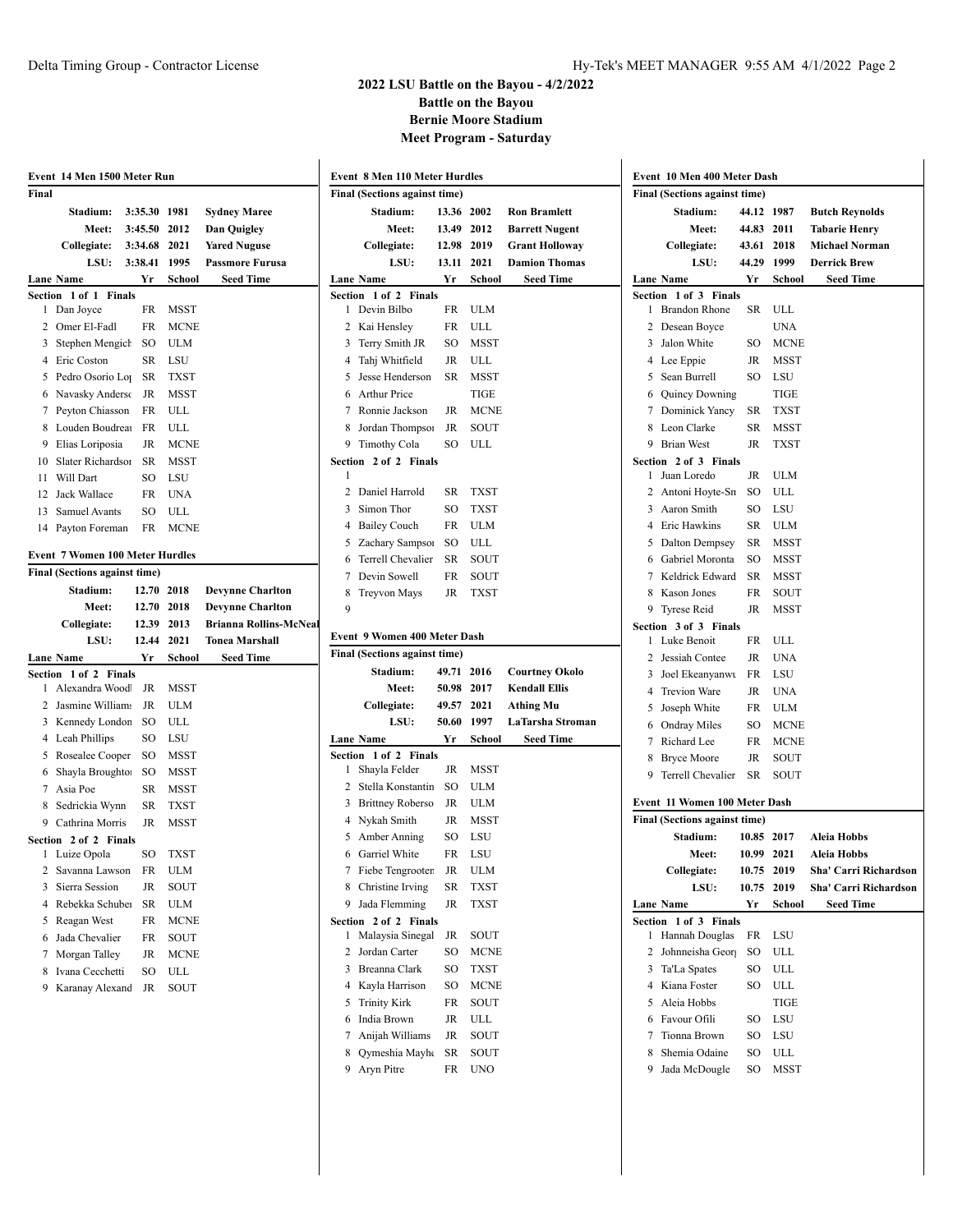| Event 14 Men 1500 Meter Run             |                          |             |                               |                                                                              |            |                          |                                      |   | Event 10 Men 400 Meter Dash        |            |                   |                       |
|-----------------------------------------|--------------------------|-------------|-------------------------------|------------------------------------------------------------------------------|------------|--------------------------|--------------------------------------|---|------------------------------------|------------|-------------------|-----------------------|
| Final                                   |                          |             |                               | <b>Event 8 Men 110 Meter Hurdles</b><br><b>Final (Sections against time)</b> |            |                          | <b>Final (Sections against time)</b> |   |                                    |            |                   |                       |
| <b>Stadium:</b>                         | 3:35.30 1981             |             | <b>Sydney Maree</b>           | Stadium:                                                                     |            | 13.36 2002               | <b>Ron Bramlett</b>                  |   | Stadium:                           |            | 44.12 1987        | <b>Butch Reynolds</b> |
| Meet:                                   | 3:45.50 2012             |             | Dan Quigley                   | Meet:                                                                        |            | 13.49 2012               | <b>Barrett Nugent</b>                |   | Meet:                              | 44.83 2011 |                   | <b>Tabarie Henry</b>  |
| Collegiate:                             | 3:34.68 2021             |             | <b>Yared Nuguse</b>           | Collegiate:                                                                  |            | 12.98 2019               | <b>Grant Holloway</b>                |   | Collegiate:                        |            | 43.61 2018        | <b>Michael Norman</b> |
| LSU:                                    | 3:38.41 1995             |             | <b>Passmore Furusa</b>        | LSU:                                                                         |            | 13.11 2021               | <b>Damion Thomas</b>                 |   | LSU:                               | 44.29      | 1999              | <b>Derrick Brew</b>   |
| <b>Lane Name</b>                        | Yr                       | School      | <b>Seed Time</b>              | <b>Lane Name</b>                                                             | Yr         | School                   | <b>Seed Time</b>                     |   | Lane Name                          | Yr         | School            | <b>Seed Time</b>      |
| Section 1 of 1 Finals                   |                          |             |                               | Section 1 of 2 Finals                                                        |            |                          |                                      |   | Section 1 of 3 Finals              |            |                   |                       |
| 1 Dan Joyce                             |                          | FR MSST     |                               | 1 Devin Bilbo                                                                | FR         | ULM                      |                                      |   | 1 Brandon Rhone                    |            | SR ULL            |                       |
| 2 Omer El-Fadl                          | FR                       | <b>MCNE</b> |                               | 2 Kai Hensley                                                                | FR         | ULL                      |                                      |   | 2 Desean Boyce                     |            | <b>UNA</b>        |                       |
| 3 Stephen Mengich                       | SO                       | <b>ULM</b>  |                               | 3 Terry Smith JR                                                             | SO         | <b>MSST</b>              |                                      |   | 3 Jalon White                      | SO         | <b>MCNE</b>       |                       |
| 4 Eric Coston                           | SR                       | LSU         |                               | 4 Tahj Whitfield                                                             | JR         | ULL                      |                                      |   | 4 Lee Eppie                        | JR         | <b>MSST</b>       |                       |
| 5 Pedro Osorio Lo <sub>1</sub>          |                          | SR TXST     |                               | 5 Jesse Henderson                                                            | SR         | MSST                     |                                      |   | 5 Sean Burrell                     | SO         | LSU               |                       |
| 6 Navasky Anderso                       | JR                       | <b>MSST</b> |                               | 6 Arthur Price                                                               |            | <b>TIGE</b>              |                                      |   | 6 Quincy Downing                   |            | <b>TIGE</b>       |                       |
| 7 Peyton Chiasson                       |                          | FR ULL      |                               | 7 Ronnie Jackson                                                             | JR         | <b>MCNE</b>              |                                      |   | 7 Dominick Yancy                   | SR         | <b>TXST</b>       |                       |
| 8 Louden Boudrea                        | FR                       | ULL         |                               | 8 Jordan Thompson                                                            | JR         | SOUT                     |                                      | 8 | Leon Clarke                        | SR         | <b>MSST</b>       |                       |
| 9 Elias Loriposia                       | JR                       | <b>MCNE</b> |                               | 9 Timothy Cola                                                               | SO         | ULL                      |                                      |   | 9 Brian West                       | JR         | <b>TXST</b>       |                       |
| 10 Slater Richardson                    | SR                       | <b>MSST</b> |                               | Section 2 of 2 Finals                                                        |            |                          |                                      |   | Section 2 of 3 Finals              |            |                   |                       |
| 11 Will Dart                            | SO                       | LSU         |                               |                                                                              |            |                          |                                      |   | 1 Juan Loredo                      | JR         | <b>ULM</b>        |                       |
| 12 Jack Wallace                         | FR                       | UNA         |                               | 2 Daniel Harrold                                                             | SR         | <b>TXST</b>              |                                      |   | 2 Antoni Hoyte-Sn                  | SO         | ULL               |                       |
| 13 Samuel Avants                        | SO                       | ULL         |                               | 3 Simon Thor                                                                 | SO         | <b>TXST</b>              |                                      |   | 3 Aaron Smith                      | SO         | LSU               |                       |
| 14 Payton Foreman                       |                          | FR MCNE     |                               | 4 Bailey Couch                                                               | FR         | ULM                      |                                      |   | 4 Eric Hawkins                     | SR         | <b>ULM</b>        |                       |
| <b>Event 7 Women 100 Meter Hurdles</b>  |                          |             |                               | 5 Zachary Sampson                                                            | SO         | ULL                      |                                      |   | 5 Dalton Dempsey                   | SR         | <b>MSST</b>       |                       |
| Final (Sections against time)           |                          |             |                               | 6 Terrell Chevalier                                                          | SR         | SOUT                     |                                      | 6 | Gabriel Moronta                    | SO         | <b>MSST</b>       |                       |
|                                         |                          |             |                               | 7 Devin Sowell                                                               | FR         | SOUT                     |                                      |   | 7 Keldrick Edward                  | SR         | <b>MSST</b>       |                       |
| Stadium:                                | 12.70 2018<br>12.70 2018 |             | <b>Devynne Charlton</b>       | 8<br>Treyvon Mays                                                            | JR         | <b>TXST</b>              |                                      |   | 8 Kason Jones                      | FR         | SOUT              |                       |
| Meet:                                   |                          |             | <b>Devynne Charlton</b>       | 9                                                                            |            |                          |                                      |   | 9 Tyrese Reid                      |            | JR MSST           |                       |
|                                         |                          |             |                               |                                                                              |            |                          |                                      |   |                                    |            |                   |                       |
| Collegiate:                             | 12.39 2013               |             | <b>Brianna Rollins-McNeal</b> |                                                                              |            |                          |                                      |   | Section 3 of 3 Finals              |            |                   |                       |
| LSU:                                    | 12.44 2021               |             | <b>Tonea Marshall</b>         | <b>Event 9 Women 400 Meter Dash</b>                                          |            |                          |                                      |   | 1 Luke Benoit                      | FR         | ULL               |                       |
| Lane Name                               | Yr                       | School      | <b>Seed Time</b>              | Final (Sections against time)                                                |            |                          |                                      |   | 2 Jessiah Contee                   | JR         | <b>UNA</b>        |                       |
| Section 1 of 2 Finals<br>Alexandra Wood | JR                       | MSST        |                               | Stadium:                                                                     |            | 49.71 2016               | <b>Courtney Okolo</b>                |   | 3 Joel Ekeanyanwu                  | FR         | LSU               |                       |
| 2 Jasmine William:                      | JR                       | <b>ULM</b>  |                               | Meet:                                                                        |            | 50.98 2017               | <b>Kendall Ellis</b>                 |   | 4 Trevion Ware                     | JR         | <b>UNA</b>        |                       |
| 3 Kennedy London                        | SO                       | ULL         |                               | Collegiate:<br>LSU:                                                          |            | 49.57 2021<br>50.60 1997 | <b>Athing Mu</b><br>LaTarsha Stroman | 5 | Joseph White                       | FR         | <b>ULM</b>        |                       |
|                                         | SO                       | LSU         |                               | <b>Lane Name</b>                                                             | Yr         | School                   | <b>Seed Time</b>                     |   | 6 Ondray Miles                     | SO         | <b>MCNE</b>       |                       |
| 4 Leah Phillips<br>5 Rosealee Cooper SO |                          | <b>MSST</b> |                               | Section 1 of 2 Finals                                                        |            |                          |                                      |   | 7 Richard Lee                      | FR         | <b>MCNE</b>       |                       |
| 6 Shayla Broughto:                      | SO                       | <b>MSST</b> |                               | 1 Shayla Felder                                                              |            | JR MSST                  |                                      |   | <b>Bryce Moore</b>                 | JR         | SOUT              |                       |
| 7 Asia Poe                              | SR                       | MSST        |                               | 2 Stella Konstantin                                                          | SO         | <b>ULM</b>               |                                      |   | 9 Terrell Chevalier                | SR         | SOUT              |                       |
| 8 Sedrickia Wynn                        |                          | SR TXST     |                               | 3 Brittney Roberso                                                           | JR         | <b>ULM</b>               |                                      |   | Event 11 Women 100 Meter Dash      |            |                   |                       |
| 9 Cathrina Morris                       |                          | JR MSST     |                               | 4 Nykah Smith                                                                | JR         | <b>MSST</b>              |                                      |   | Final (Sections against time)      |            |                   |                       |
| Section 2 of 2 Finals                   |                          |             |                               | 5 Amber Anning                                                               | SO         | LSU                      |                                      |   | Stadium:                           |            | 10.85 2017        | <b>Aleia Hobbs</b>    |
| 1 Luize Opola                           |                          | SO TXST     |                               | 6 Garriel White                                                              |            | FR LSU                   |                                      |   | <b>Meet:</b>                       |            | 10.99 2021        | Aleia Hobbs           |
| 2 Savanna Lawson                        |                          | FR ULM      |                               | 7 Fiebe Tengrooten                                                           | JR         | ULM                      |                                      |   | Collegiate:                        |            | 10.75 2019        | Sha' Carri Richardson |
| 3 Sierra Session                        | JR                       | SOUT        |                               | 8 Christine Irving                                                           | ${\sf SR}$ | <b>TXST</b>              |                                      |   | LSU:                               |            | 10.75 2019        | Sha' Carri Richardson |
| 4 Rebekka Schuber                       | SR                       | <b>ULM</b>  |                               | 9 Jada Flemming                                                              | JR         | <b>TXST</b>              |                                      |   | <b>Lane Name</b>                   | Yr         | School            | <b>Seed Time</b>      |
| 5 Reagan West                           | FR                       | <b>MCNE</b> |                               | Section 2 of 2 Finals                                                        |            |                          |                                      |   | Section 1 of 3 Finals              |            |                   |                       |
| 6 Jada Chevalier                        | FR                       | SOUT        |                               | 1 Malaysia Sinegal                                                           | JR         | SOUT                     |                                      |   | 1 Hannah Douglas                   |            | FR LSU            |                       |
| 7 Morgan Talley                         | JR                       | <b>MCNE</b> |                               | 2 Jordan Carter                                                              | SO         | <b>MCNE</b>              |                                      |   | 2 Johnneisha Geor                  | SO         | ULL               |                       |
| 8 Ivana Cecchetti                       | SO                       | ULL         |                               | 3 Breanna Clark                                                              | SO         | <b>TXST</b>              |                                      |   | 3 Ta'La Spates                     | SO         | ULL               |                       |
| 9 Karanay Alexand JR                    |                          | SOUT        |                               | 4 Kayla Harrison                                                             | SO         | <b>MCNE</b>              |                                      |   | 4 Kiana Foster                     | SO         | ULL               |                       |
|                                         |                          |             |                               | 5 Trinity Kirk                                                               | FR         | SOUT                     |                                      |   | 5 Aleia Hobbs                      |            | <b>TIGE</b>       |                       |
|                                         |                          |             |                               | 6 India Brown                                                                | JR         | ULL                      |                                      |   | 6 Favour Ofili                     | SO         | LSU               |                       |
|                                         |                          |             |                               | 7 Anijah Williams                                                            | JR         | SOUT                     |                                      |   | 7 Tionna Brown                     | SO         | LSU               |                       |
|                                         |                          |             |                               | 8 Qymeshia Mayhe<br>9 Aryn Pitre                                             | SR         | SOUT<br>FR UNO           |                                      |   | 8 Shemia Odaine<br>9 Jada McDougle |            | SO ULL<br>SO MSST |                       |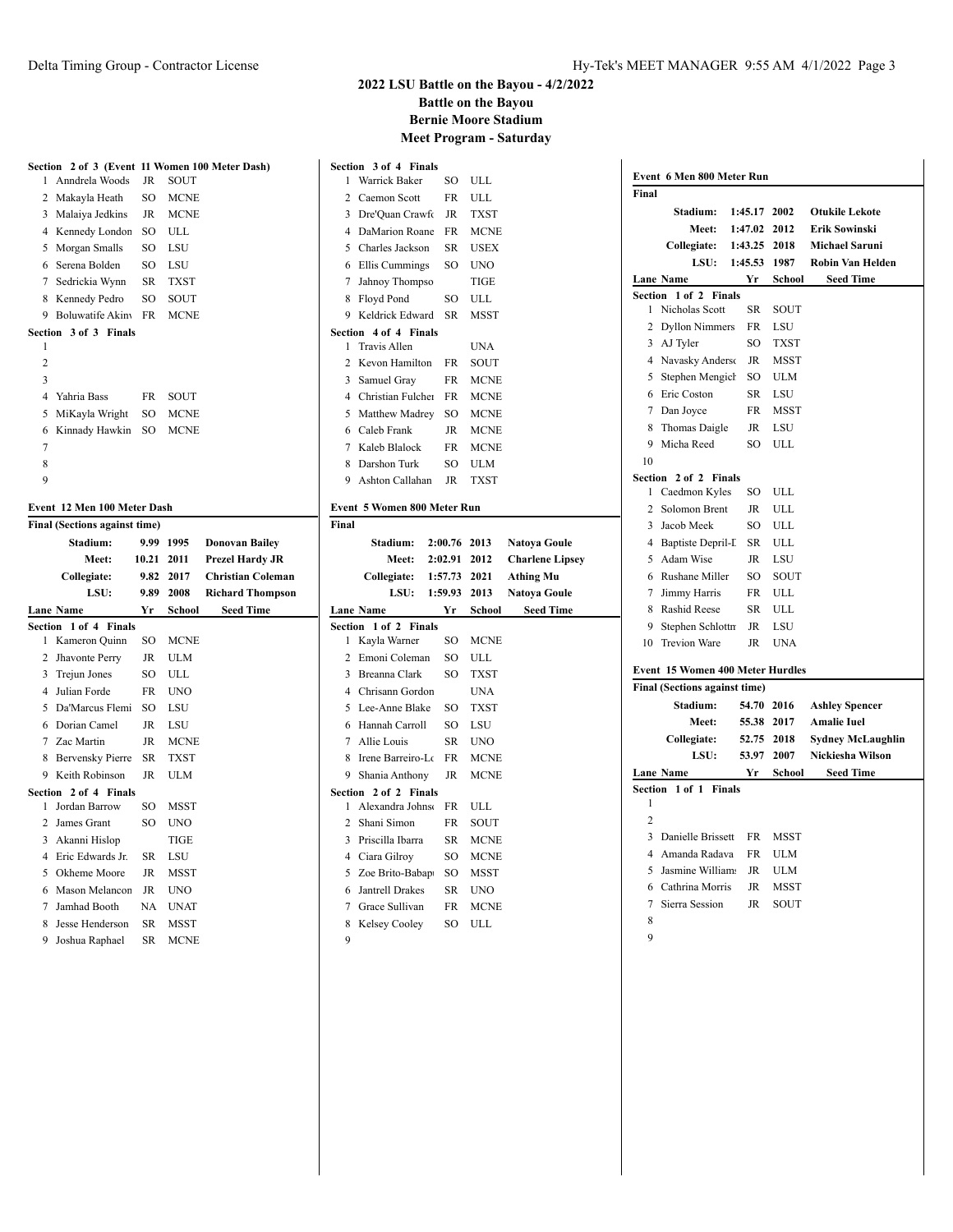$\overline{1}$ 

#### **2022 LSU Battle on the Bayou - 4/2/2022 Battle on the Bayou Bernie Moore Stadium Meet Program - Saturday**

**Section 3 of 4 Finals**

Warrick Baker SO ULL

|                | Section 2 of 3 (Event 11 Women 100 Meter Dash) |             |             |                       |
|----------------|------------------------------------------------|-------------|-------------|-----------------------|
| $\mathbf{1}$   | Anndrela Woods                                 | JR          | <b>SOUT</b> |                       |
| 2              | Makayla Heath                                  | SO          | <b>MCNE</b> |                       |
| 3              | Malaiya Jedkins                                | $_{\rm JR}$ | <b>MCNE</b> |                       |
| 4              | Kennedy London                                 | SO.         | ULL.        |                       |
| 5              | Morgan Smalls                                  | SO.         | LSU         |                       |
| 6              | Serena Bolden                                  | SO.         | LSU         |                       |
| 7              | Sedrickia Wynn                                 | SR          | <b>TXST</b> |                       |
| 8              | Kennedy Pedro                                  | SO          | SOUT        |                       |
| 9              | Boluwatife Akiny                               | FR          | <b>MCNE</b> |                       |
|                | Section 3 of 3 Finals                          |             |             |                       |
| 1              |                                                |             |             |                       |
| $\overline{c}$ |                                                |             |             |                       |
| 3              |                                                |             |             |                       |
| 4              | Yahria Bass                                    | FR          | SOUT        |                       |
| 5              | MiKayla Wright                                 | SO          | <b>MCNE</b> |                       |
| 6              | Kinnady Hawkin                                 | SO          | <b>MCNE</b> |                       |
| 7              |                                                |             |             |                       |
| 8              |                                                |             |             |                       |
| 9              |                                                |             |             |                       |
|                | Event 12 Men 100 Meter Dash                    |             |             |                       |
|                | <b>Final (Sections against time)</b>           |             |             |                       |
|                | Stadium:                                       | 9.99        | 1995        | <b>Donovan Bailev</b> |

**Meet: 10.21 2011 Prezel Hardy JR Collegiate: 9.82 2017 Christian Coleman LSU: 9.89 2008 Richard Thompson**

**Lane Name Yr School Seed Time**

 Kameron Quinn SO MCNE Jhavonte Perry JR ULM Trejun Jones SO ULL Julian Forde FR UNO 5 Da'Marcus Flemi SO LSU Dorian Camel JR LSU Zac Martin JR MCNE Bervensky Pierre SR TXST Keith Robinson JR ULM

 Jordan Barrow SO MSST James Grant SO UNO Akanni Hislop TIGE Eric Edwards Jr. SR LSU Okheme Moore JR MSST Mason Melancon JR UNO Jamhad Booth NA UNAT Jesse Henderson SR MSST Joshua Raphael SR MCNE

**Section 1 of 4 Finals**

**Section 2 of 4 Finals**

| 2              | Caemon Scott                      | FR        | ULL           |                        |
|----------------|-----------------------------------|-----------|---------------|------------------------|
| 3              | Dre'Quan Crawfo                   | JR        | <b>TXST</b>   |                        |
| $\overline{4}$ | DaMarion Roane                    | FR.       | <b>MCNE</b>   |                        |
| 5              | Charles Jackson                   | SR        | <b>USEX</b>   |                        |
| 6              | Ellis Cummings                    | SO.       | <b>UNO</b>    |                        |
| 7              | Jahnoy Thompso                    |           | <b>TIGE</b>   |                        |
| 8              | Floyd Pond                        | SO        | ULL           |                        |
| 9              | Keldrick Edward                   | <b>SR</b> | <b>MSST</b>   |                        |
| Section        | 4 of 4 Finals                     |           |               |                        |
| 1              | <b>Travis Allen</b>               |           | <b>UNA</b>    |                        |
| $\overline{2}$ | Kevon Hamilton                    | FR        | SOUT          |                        |
| 3              | Samuel Gray                       | FR        | <b>MCNE</b>   |                        |
| $\overline{4}$ | Christian Fulcher                 | FR        | <b>MCNE</b>   |                        |
| 5              | Matthew Madrey                    | SO        | <b>MCNE</b>   |                        |
| 6              | Caleb Frank                       | JR        | <b>MCNE</b>   |                        |
| 7              | Kaleb Blalock                     | FR        | <b>MCNE</b>   |                        |
|                | 8 Darshon Turk                    | SO.       | <b>ULM</b>    |                        |
|                | 9 Ashton Callahan                 | <b>JR</b> | <b>TXST</b>   |                        |
|                | Event 5 Women 800 Meter Run       |           |               |                        |
| Final          |                                   |           |               |                        |
|                | Stadium:                          | 2:00.76   | 2013          | <b>Natoya Goule</b>    |
|                | <b>Meet:</b>                      | 2:02.91   | 2012          | <b>Charlene Lipsey</b> |
|                |                                   |           |               |                        |
|                |                                   |           |               |                        |
|                | Collegiate:                       | 1:57.73   | 2021          | <b>Athing Mu</b>       |
|                | LSU:                              | 1:59.93   | 2013          | <b>Natoya Goule</b>    |
| Section        | <b>Lane Name</b><br>1 of 2 Finals | Yr        | <b>School</b> | <b>Seed Time</b>       |
| 1              | Kayla Warner                      | SO.       | <b>MCNE</b>   |                        |
| $\overline{2}$ | Emoni Coleman                     | SO        | ULL           |                        |
| 3              | Breanna Clark                     | SO        | <b>TXST</b>   |                        |
| $\overline{4}$ | Chrisann Gordon                   |           | <b>UNA</b>    |                        |
| 5              | Lee-Anne Blake                    | SO        | <b>TXST</b>   |                        |
| 6              | Hannah Carroll                    | SO        | LSU           |                        |
| 7              | Allie Louis                       | SR        | <b>UNO</b>    |                        |
| 8              | Irene Barreiro-Lo                 | FR        | <b>MCNE</b>   |                        |
| 9              | Shania Anthony                    | JR        | <b>MCNE</b>   |                        |
| Section        | 2 of 2 Finals                     |           |               |                        |
| 1              | Alexandra Johnso                  | FR.       | ULL           |                        |
| 2              | Shani Simon                       | FR        | SOUT          |                        |
| $\overline{3}$ | Priscilla Ibarra                  | SR        | <b>MCNE</b>   |                        |
| $\overline{4}$ | Ciara Gilroy                      | SO        | <b>MCNE</b>   |                        |
| 5              | Zoe Brito-Babapt                  | SO        | <b>MSST</b>   |                        |
| 6              | <b>Jantrell Drakes</b>            | SR        | UNO           |                        |
| 7              | Grace Sullivan                    | FR        | <b>MCNE</b>   |                        |
| 8<br>9         | Kelsey Cooley                     | SO        | ULL           |                        |

| Event 6 Men 800 Meter Run |                                      |           |             |                          |  |
|---------------------------|--------------------------------------|-----------|-------------|--------------------------|--|
| Final                     |                                      |           |             |                          |  |
|                           | Stadium:                             | 1:45.17   | 2002        | <b>Otukile Lekote</b>    |  |
|                           | <b>Meet:</b>                         | 1:47.02   | 2012        | Erik Sowinski            |  |
|                           | Collegiate:                          | 1:43.25   | 2018        | <b>Michael Saruni</b>    |  |
|                           | <b>LSU:</b>                          | 1:45.53   | 1987        | <b>Robin Van Helden</b>  |  |
|                           | Lane Name                            | Yr Y      | School      | <b>Seed Time</b>         |  |
| <b>Section</b>            | 1 of 2 Finals                        |           |             |                          |  |
| 1                         | Nicholas Scott                       | <b>SR</b> | SOUT        |                          |  |
| $\overline{2}$            | <b>Dyllon Nimmers</b>                | <b>FR</b> | LSU         |                          |  |
| 3                         | AJ Tyler                             | SO.       | <b>TXST</b> |                          |  |
| 4                         | Navasky Anderso                      | JR        | <b>MSST</b> |                          |  |
| 5                         | Stephen Mengich                      | SO.       | <b>ULM</b>  |                          |  |
| 6                         | Eric Coston                          | SR        | LSU         |                          |  |
| $\tau$                    | Dan Joyce                            | FR        | <b>MSST</b> |                          |  |
|                           | 8 Thomas Daigle                      | JR        | LSU         |                          |  |
| 9                         | Micha Reed                           | SO        | <b>ULL</b>  |                          |  |
| 10                        |                                      |           |             |                          |  |
|                           | Section 2 of 2 Finals                |           |             |                          |  |
| 1                         | Caedmon Kyles                        | SO.       | ULL         |                          |  |
| 2                         | Solomon Brent                        | JR        | ULL         |                          |  |
| 3                         | Jacob Meek                           | SO.       | <b>ULL</b>  |                          |  |
| 4                         | Baptiste Depril-I                    | <b>SR</b> | <b>ULL</b>  |                          |  |
| 5                         | Adam Wise                            | <b>JR</b> | LSU         |                          |  |
| 6                         | Rushane Miller                       | SO        | SOUT        |                          |  |
| 7                         | Jimmy Harris                         | FR        | <b>ULL</b>  |                          |  |
| 8                         | Rashid Reese                         | <b>SR</b> | <b>ULL</b>  |                          |  |
| 9                         | Stephen Schlottn                     | JR        | <b>LSU</b>  |                          |  |
| 10                        | <b>Trevion Ware</b>                  | <b>JR</b> | <b>UNA</b>  |                          |  |
|                           | Event 15 Women 400 Meter Hurdles     |           |             |                          |  |
|                           | <b>Final (Sections against time)</b> |           |             |                          |  |
|                           | Stadium:                             | 54.70     | 2016        | <b>Ashley Spencer</b>    |  |
|                           | Meet:                                | 55.38     | 2017        | <b>Amalie Iuel</b>       |  |
|                           | Collegiate:                          | 52.75     | 2018        | <b>Sydney McLaughlin</b> |  |
|                           | LSU:                                 | 53.97     | 2007        | Nickiesha Wilson         |  |
|                           | Lane Name                            | Yr        | School      | <b>Seed Time</b>         |  |
|                           | Section 1 of 1 Finals                |           |             |                          |  |
| 1<br>$\overline{2}$       |                                      |           |             |                          |  |
| 3                         |                                      |           |             |                          |  |
|                           | Danielle Brissett                    | <b>FR</b> | MSST        |                          |  |
| $\overline{4}$            | Amanda Radava                        | <b>FR</b> | <b>ULM</b>  |                          |  |
| 5                         | Jasmine William                      | <b>JR</b> | <b>ULM</b>  |                          |  |
| 6                         | Cathrina Morris                      | <b>JR</b> | <b>MSST</b> |                          |  |
| 7                         | Sierra Session                       | JR        | SOUT        |                          |  |
| 8                         |                                      |           |             |                          |  |
| 9                         |                                      |           |             |                          |  |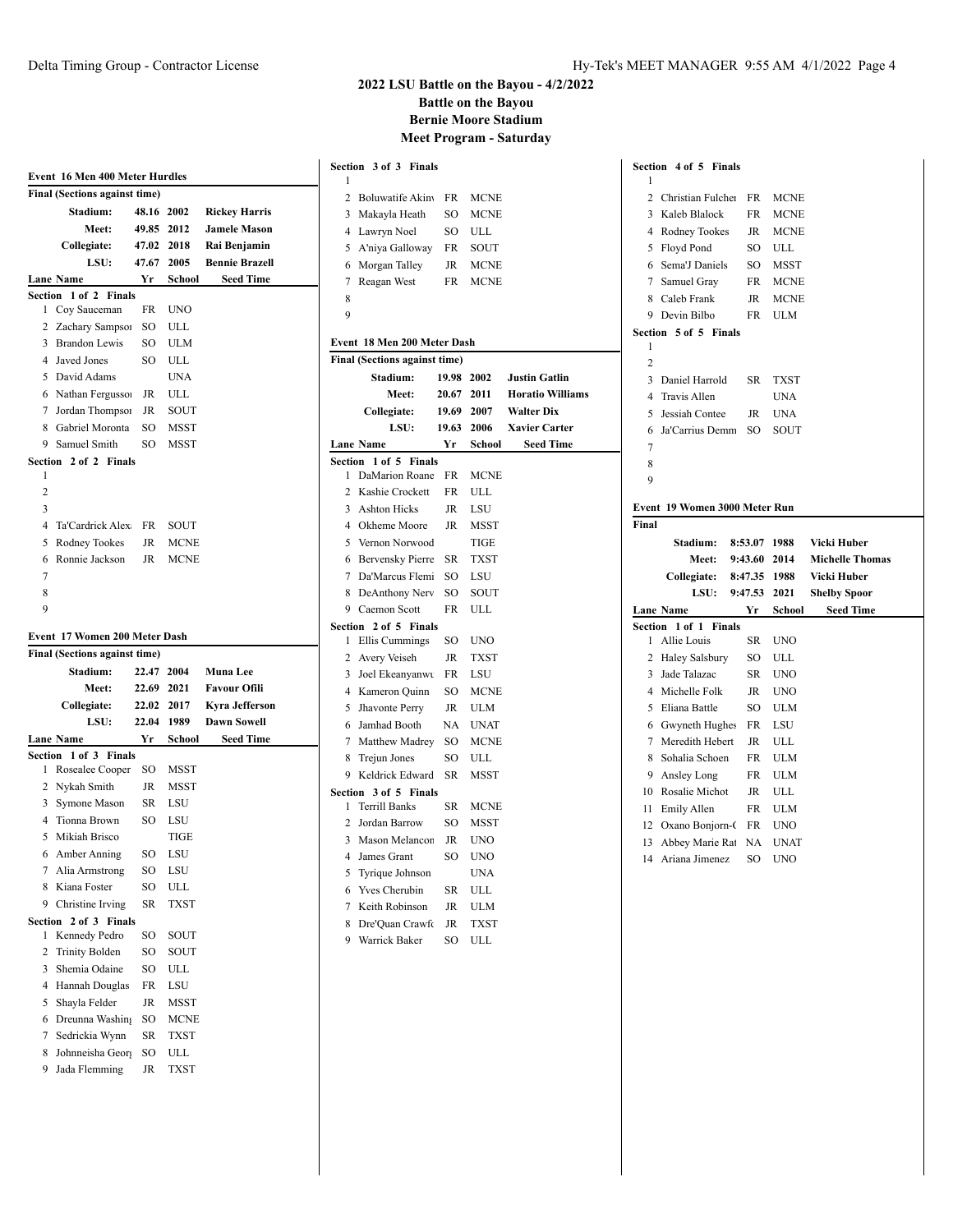| Event 16 Men 400 Meter Hurdles |                                        |               |             |                       |  |
|--------------------------------|----------------------------------------|---------------|-------------|-----------------------|--|
|                                | <b>Final (Sections against time)</b>   |               |             |                       |  |
|                                | Stadium:                               | 48.16         | 2002        | <b>Rickey Harris</b>  |  |
|                                | Meet:                                  |               | 49.85 2012  | <b>Jamele Mason</b>   |  |
|                                | Collegiate:                            |               | 47.02 2018  | Rai Benjamin          |  |
|                                | LSU:                                   | 47.67         | 2005        | <b>Bennie Brazell</b> |  |
|                                | Lane Name                              | Yr            | School      | <b>Seed Time</b>      |  |
|                                | Section 1 of 2 Finals                  |               |             |                       |  |
|                                | 1 Coy Sauceman                         | FR            | <b>UNO</b>  |                       |  |
|                                | 2 Zachary Sampson                      | SO            | ULL         |                       |  |
|                                | 3 Brandon Lewis                        | SO            | <b>ULM</b>  |                       |  |
|                                | 4 Javed Jones                          | SO.           | ULL         |                       |  |
|                                | 5 David Adams                          |               | UNA         |                       |  |
|                                | 6 Nathan Fergusso                      | JR            | ULL         |                       |  |
|                                | 7 Jordan Thompson                      | JR            | SOUT        |                       |  |
|                                | 8 Gabriel Moronta                      | <sub>SO</sub> | MSST        |                       |  |
|                                | 9 Samuel Smith                         | SO.           | <b>MSST</b> |                       |  |
| 1                              | Section 2 of 2 Finals                  |               |             |                       |  |
| 2                              |                                        |               |             |                       |  |
| 3                              |                                        |               |             |                       |  |
| $\overline{4}$                 | Ta'Cardrick Alex                       | FR            | SOUT        |                       |  |
| 5                              | Rodney Tookes                          | JR            | <b>MCNE</b> |                       |  |
| 6                              | Ronnie Jackson                         | JR            | <b>MCNE</b> |                       |  |
| 7                              |                                        |               |             |                       |  |
| 8                              |                                        |               |             |                       |  |
| 9                              |                                        |               |             |                       |  |
|                                |                                        |               |             |                       |  |
|                                |                                        |               |             |                       |  |
|                                | Event 17 Women 200 Meter Dash          |               |             |                       |  |
|                                | <b>Final (Sections against time)</b>   |               |             |                       |  |
|                                | Stadium:                               | 22.47         | 2004        | <b>Muna Lee</b>       |  |
|                                | Meet:                                  | 22.69 2021    |             | <b>Favour Ofili</b>   |  |
|                                | Collegiate:                            |               | 22.02 2017  | <b>Kyra Jefferson</b> |  |
|                                | LSU:                                   | 22.04 1989    |             | <b>Dawn Sowell</b>    |  |
|                                | Lane Name                              | Yr            | School      | Seed Time             |  |
|                                | Section 1 of 3 Finals                  |               |             |                       |  |
| 1                              | Rosealee Cooper                        | SO            | MSST        |                       |  |
|                                | 2 Nykah Smith                          | JR            | MSST        |                       |  |
|                                | 3 Symone Mason                         | SR            | LSU         |                       |  |
|                                | 4 Tionna Brown                         | SO            | LSU         |                       |  |
|                                | 5 Mikiah Brisco                        |               | TIGE        |                       |  |
| 6                              | Amber Anning                           | SO            | LSU         |                       |  |
| 7                              | Alia Armstrong                         | SO            | LSU         |                       |  |
| 8                              | Kiana Foster                           | SO            | ULL         |                       |  |
| 9                              | Christine Irving                       | SR            | TXST        |                       |  |
| 1                              | 2 of 3 Finals                          | SO            | SOUT        |                       |  |
| Section<br>2                   | Kennedy Pedro<br><b>Trinity Bolden</b> | SO            | SOUT        |                       |  |
| 3                              | Shemia Odaine                          | SO            | ULL         |                       |  |
| 4                              | Hannah Douglas                         | FR            | LSU         |                       |  |
| 5                              | Shayla Felder                          | JR            | MSST        |                       |  |
| 6                              | Dreunna Washing                        | SO            | <b>MCNE</b> |                       |  |
| 7                              |                                        | SR            | <b>TXST</b> |                       |  |
| 8                              | Sedrickia Wynn<br>Johnneisha Geor      |               |             |                       |  |
| 9                              | Jada Flemming                          | SO<br>JR      | ULL<br>TXST |                       |  |

| 1              | Section 3 of 3 Finals                                        |           |             |                         |
|----------------|--------------------------------------------------------------|-----------|-------------|-------------------------|
| $\overline{c}$ | <b>Boluwatife Akiny</b>                                      | <b>FR</b> | <b>MCNE</b> |                         |
| 3              | Makayla Heath                                                | SO        | <b>MCNE</b> |                         |
| 4              | Lawryn Noel                                                  | SO        | ULL         |                         |
| 5              | A'niya Galloway                                              | FR        | SOUT        |                         |
| 6              | Morgan Talley                                                | JR        | <b>MCNE</b> |                         |
| 7              | Reagan West                                                  | FR        | <b>MCNE</b> |                         |
| 8              |                                                              |           |             |                         |
| 9              |                                                              |           |             |                         |
|                |                                                              |           |             |                         |
|                | Event 18 Men 200 Meter Dash<br>Final (Sections against time) |           |             |                         |
|                | Stadium:                                                     | 19.98     | 2002        | <b>Justin Gatlin</b>    |
|                | Meet:                                                        | 20.67     | 2011        | <b>Horatio Williams</b> |
|                | Collegiate:                                                  | 19.69     | 2007        | <b>Walter Dix</b>       |
|                | LSU:                                                         | 19.63     | 2006        | <b>Xavier Carter</b>    |
|                | <b>Lane Name</b>                                             | Yr        | School      | <b>Seed Time</b>        |
|                | Section 1 of 5 Finals                                        |           |             |                         |
| 1              | DaMarion Roane                                               | <b>FR</b> | <b>MCNE</b> |                         |
| $\overline{c}$ | Kashie Crockett                                              | FR        | ULL         |                         |
| 3              | <b>Ashton Hicks</b>                                          | <b>JR</b> | LSU         |                         |
| 4              | Okheme Moore                                                 | <b>JR</b> | MSST        |                         |
| 5              | Vernon Norwood                                               |           | TIGE        |                         |
| 6              | <b>Bervensky Pierre</b>                                      | SR        | <b>TXST</b> |                         |
| 7              | Da'Marcus Flemi                                              | $\rm SO$  | LSU         |                         |
| 8              | DeAnthony Nerv                                               | SO        | SOUT        |                         |
| 9              | Caemon Scott                                                 | <b>FR</b> | ULL         |                         |
|                | Section 2 of 5 Finals                                        |           |             |                         |
| 1              | Ellis Cummings                                               | SO        | UNO         |                         |
| $\overline{c}$ | Avery Veiseh                                                 | JR        | <b>TXST</b> |                         |
| 3              | Joel Ekeanyanwu                                              | FR        | LSU         |                         |
| 4              | Kameron Quinn                                                | SO        | <b>MCNE</b> |                         |
| 5              | Jhavonte Perry                                               | JR        | <b>ULM</b>  |                         |
| 6              | Jamhad Booth                                                 | NA        | UNAT        |                         |
| 7              | Matthew Madrey                                               | SO        | <b>MCNE</b> |                         |
| 8              | Trejun Jones                                                 | SO        | ULL         |                         |
| 9              | Keldrick Edward                                              | SR        | <b>MSST</b> |                         |
| Section        | 3 of 5 Finals                                                |           |             |                         |
| 1              | <b>Terrill Banks</b>                                         | SR        | <b>MCNE</b> |                         |
| 2              | Jordan Barrow                                                | SO        | MSST        |                         |
| 3              | Mason Melancon                                               | JR        | <b>UNO</b>  |                         |
| 4              | James Grant                                                  | SO        | <b>UNO</b>  |                         |
| 5              | Tyrique Johnson                                              |           | <b>UNA</b>  |                         |
| 6              | <b>Yves Cherubin</b>                                         | <b>SR</b> | ULL         |                         |
| 7              | Keith Robinson                                               | JR        | <b>ULM</b>  |                         |
| 8              | Dre'Quan Crawfo                                              | <b>JR</b> | <b>TXST</b> |                         |
| 9              | Warrick Baker                                                | <b>SO</b> | <b>ULL</b>  |                         |

|                | Section 4 of 5<br>Finals      |              |             |                        |
|----------------|-------------------------------|--------------|-------------|------------------------|
| 1              |                               |              |             |                        |
| $\mathfrak{D}$ | Christian Fulcher             | FR           | <b>MCNE</b> |                        |
| 3              | Kaleb Blalock                 | FR           | <b>MCNE</b> |                        |
| 4              | Rodney Tookes                 | JR           | <b>MCNE</b> |                        |
| 5              | Floyd Pond                    | SO.          | <b>ULL</b>  |                        |
| 6              | Sema'J Daniels                | SO           | <b>MSST</b> |                        |
| 7              | Samuel Gray                   | FR           | <b>MCNE</b> |                        |
| 8              | Caleb Frank                   | JR           | <b>MCNE</b> |                        |
| 9              | Devin Bilbo                   | FR           | <b>ULM</b>  |                        |
|                | Section 5 of 5 Finals         |              |             |                        |
| 1              |                               |              |             |                        |
| $\overline{c}$ |                               |              |             |                        |
| 3              | Daniel Harrold                | <b>SR</b>    | TXST        |                        |
| $\overline{4}$ | Travis Allen                  |              | <b>UNA</b>  |                        |
| 5              | Jessiah Contee                | <b>JR</b>    | <b>UNA</b>  |                        |
| 6              | Ja'Carrius Demm               | SO.          | <b>SOUT</b> |                        |
| 7              |                               |              |             |                        |
| 8              |                               |              |             |                        |
| 9              |                               |              |             |                        |
|                | Event 19 Women 3000 Meter Run |              |             |                        |
|                |                               |              |             |                        |
| Final          |                               |              |             |                        |
|                | Stadium:                      | 8:53.07      | 1988        | Vicki Huber            |
|                | <b>Meet:</b>                  | 9:43.60      | 2014        | <b>Michelle Thomas</b> |
|                | Collegiate:                   | 8:47.35 1988 |             | Vicki Huber            |
|                | LSU:                          | 9:47.53      | 2021        | <b>Shelby Spoor</b>    |
|                | <b>Lane Name</b>              | Yr           | School      | <b>Seed Time</b>       |
| Section        | $1$ of $1$<br><b>Finals</b>   |              |             |                        |
| 1              | Allie Louis                   | SR           | <b>UNO</b>  |                        |
| $\overline{c}$ | <b>Haley Salsbury</b>         | SO           | ULL         |                        |
| 3              | Jade Talazac                  | SR           | UNO         |                        |
| $\overline{4}$ | Michelle Folk                 | <b>JR</b>    | <b>UNO</b>  |                        |
| 5              | Eliana Battle                 | SO           | <b>ULM</b>  |                        |
| 6              | Gwyneth Hughes                | FR           | LSU         |                        |
| $\tau$         | Meredith Hebert               | JR           | <b>ULL</b>  |                        |
| 8              | Sohalia Schoen                | FR           | ULM         |                        |
| 9              | Ansley Long                   | FR           | <b>ULM</b>  |                        |
| 10             | Rosalie Michot                | JR           | ULL         |                        |
| 11             | Emily Allen                   | FR           | <b>ULM</b>  |                        |
| 12             | Oxano Bonjorn-C               | FR           | <b>UNO</b>  |                        |
| 13             | Abbey Marie Rat               | NA           | <b>UNAT</b> |                        |
| 14             | Ariana Jimenez                | SO.          | <b>UNO</b>  |                        |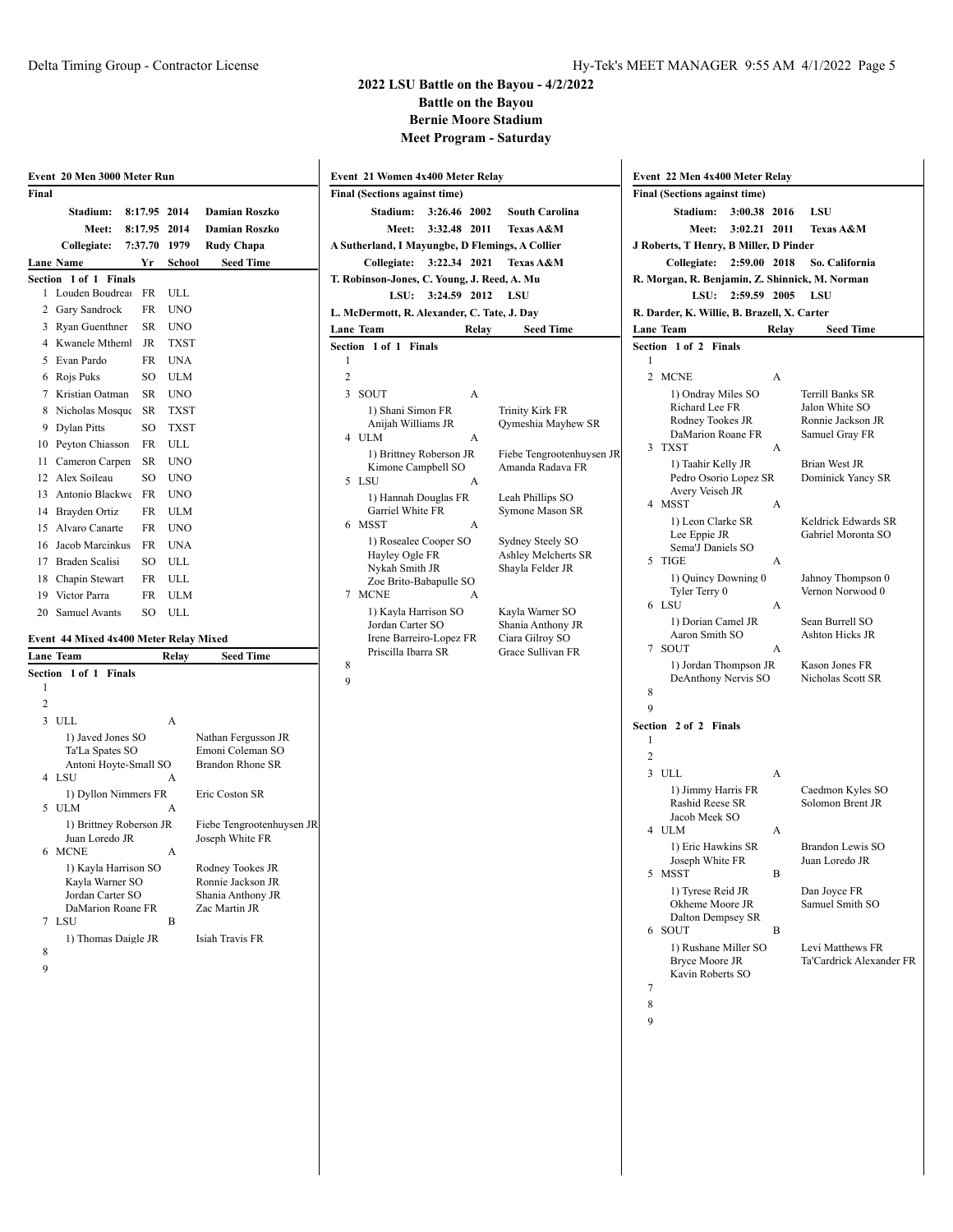|                | Event 20 Men 3000 Meter Run              |         |             |                                             |  |
|----------------|------------------------------------------|---------|-------------|---------------------------------------------|--|
| Final          |                                          |         |             |                                             |  |
|                | Stadium:                                 | 8:17.95 | 2014        | <b>Damian Roszko</b>                        |  |
|                | Meet:                                    | 8:17.95 | 2014        | <b>Damian Roszko</b>                        |  |
|                | Collegiate:                              | 7:37.70 | 1979        | <b>Rudy Chapa</b>                           |  |
|                | Lane Name                                | Yr      | School      | <b>Seed Time</b>                            |  |
| Section        | 1 of 1<br><b>Finals</b>                  |         |             |                                             |  |
| 1              | Louden Boudrea                           | FR      | ULL         |                                             |  |
| 2              | Gary Sandrock                            | FR      | <b>UNO</b>  |                                             |  |
| 3              | Ryan Guenthner                           | SR      | <b>UNO</b>  |                                             |  |
| 4              | Kwanele Mtheml                           | JR      | <b>TXST</b> |                                             |  |
| 5              | Evan Pardo                               | FR      | UNA         |                                             |  |
| 6              | Rojs Puks                                | SO      | ULM         |                                             |  |
| 7              | Kristian Oatman                          | SR      | UNO         |                                             |  |
| 8              | Nicholas Mosque                          | SR      | TXST        |                                             |  |
| 9              | <b>Dylan Pitts</b>                       | SO      | TXST        |                                             |  |
| 10             | Peyton Chiasson                          | FR      | ULL         |                                             |  |
| 11             | Cameron Carpen                           | SR      | UNO         |                                             |  |
| 12             | Alex Soileau                             | SO      | <b>UNO</b>  |                                             |  |
| 13             | Antonio Blackwe                          | FR      | <b>UNO</b>  |                                             |  |
| 14             | Brayden Ortiz                            | FR      | ULM         |                                             |  |
| 15             | Alvaro Canarte                           | FR      | <b>UNO</b>  |                                             |  |
| 16             | Jacob Marcinkus                          | FR      | UNA         |                                             |  |
| 17             | Braden Scalisi                           | SO      | ULL         |                                             |  |
| 18             | Chapin Stewart                           | FR      | ULL         |                                             |  |
| 19             | Victor Parra                             | FR      | ULM         |                                             |  |
| 20             | <b>Samuel Avants</b>                     | SO      | ULL         |                                             |  |
|                |                                          |         |             |                                             |  |
|                | Event 44 Mixed 4x400 Meter Relay Mixed   |         |             |                                             |  |
|                | Lane Team                                |         | Relay       | <b>Seed Time</b>                            |  |
| Section        | $1$ of $1$<br><b>Finals</b>              |         |             |                                             |  |
| 1              |                                          |         |             |                                             |  |
| $\overline{2}$ |                                          |         |             |                                             |  |
| 3              | ULL                                      |         | A           |                                             |  |
|                | 1) Javed Jones SO                        |         |             | Nathan Fergusson JR                         |  |
|                | Ta'La Spates SO<br>Antoni Hoyte-Small SO |         |             | Emoni Coleman SO<br><b>Brandon Rhone SR</b> |  |
| 4              | LSU                                      |         | А           |                                             |  |
|                | 1) Dyllon Nimmers FR                     |         |             | Eric Coston SR                              |  |
| 5              | ULM                                      |         | А           |                                             |  |
|                | 1) Brittney Roberson JR                  |         |             | Fiebe Tengrootenhuysen JR                   |  |
|                | Juan Loredo JR                           |         |             | Joseph White FR                             |  |
| 6              | <b>MCNE</b>                              |         | А           |                                             |  |
|                | 1) Kayla Harrison SO                     |         |             | Rodney Tookes JR                            |  |
|                | Kayla Warner SO<br>Jordan Carter SO      |         |             | Ronnie Jackson JR<br>Shania Anthony JR      |  |
|                | DaMarion Roane FR                        |         |             | Zac Martin JR                               |  |
| 7              | LSU                                      |         | B           |                                             |  |
|                | 1) Thomas Daigle JR                      |         |             | Isiah Travis FR                             |  |
| 8              |                                          |         |             |                                             |  |

9

| Event 21 Women 4x400 Meter Relay                                                   | Event 22 Men 4x400 Meter Relay                                                |
|------------------------------------------------------------------------------------|-------------------------------------------------------------------------------|
| Final (Sections against time)                                                      | Final (Sections against time)                                                 |
| Stadium:<br>3:26.46 2002<br><b>South Carolina</b>                                  | Stadium:<br>3:00.38 2016<br>LSU                                               |
| 3:32.48 2011<br>Meet:<br><b>Texas A&amp;M</b>                                      | Meet:<br>3:02.21 2011<br><b>Texas A&amp;M</b>                                 |
| A Sutherland, I Mayungbe, D Flemings, A Collier                                    | J Roberts, T Henry, B Miller, D Pinder                                        |
| Collegiate: 3:22.34 2021<br>Texas A&M                                              | Collegiate: 2:59.00 2018<br>So. California                                    |
| T. Robinson-Jones, C. Young, J. Reed, A. Mu                                        | R. Morgan, R. Benjamin, Z. Shinnick, M. Norman                                |
| LSU:<br>3:24.59 2012<br><b>LSU</b>                                                 | LSU:<br>2:59.59 2005<br><b>LSU</b>                                            |
| L. McDermott, R. Alexander, C. Tate, J. Day                                        | R. Darder, K. Willie, B. Brazell, X. Carter                                   |
| Lane Team<br>Relay<br><b>Seed Time</b>                                             | <b>Seed Time</b><br><b>Lane Team</b><br>Relay                                 |
| Section 1 of 1 Finals                                                              | Section 1 of 2 Finals                                                         |
| $\mathbf{1}$                                                                       | 1                                                                             |
| 2                                                                                  | 2 MCNE<br>A                                                                   |
| 3 SOUT<br>A                                                                        | 1) Ondray Miles SO<br>Terrill Banks SR                                        |
| 1) Shani Simon FR<br><b>Trinity Kirk FR</b>                                        | Richard Lee FR<br>Jalon White SO<br>Rodney Tookes JR                          |
| Anijah Williams JR<br>Qymeshia Mayhew SR<br>4 ULM<br>A                             | Ronnie Jackson JR<br>DaMarion Roane FR<br>Samuel Gray FR                      |
| 1) Brittney Roberson JR<br>Fiebe Tengrootenhuysen JR                               | 3 TXST<br>$\mathbf{A}$                                                        |
| Kimone Campbell SO<br>Amanda Radava FR                                             | 1) Taahir Kelly JR<br>Brian West JR                                           |
| 5 LSU<br>A                                                                         | Pedro Osorio Lopez SR<br>Dominick Yancy SR                                    |
| 1) Hannah Douglas FR<br>Leah Phillips SO                                           | Avery Veiseh JR<br>4 MSST<br>A                                                |
| Garriel White FR<br>Symone Mason SR                                                | 1) Leon Clarke SR<br>Keldrick Edwards SR                                      |
| 6 MSST<br>A                                                                        | Lee Eppie JR<br>Gabriel Moronta SO                                            |
| 1) Rosealee Cooper SO<br>Sydney Steely SO<br>Ashley Melcherts SR<br>Hayley Ogle FR | Sema'J Daniels SO                                                             |
| Shayla Felder JR<br>Nykah Smith JR                                                 | 5 TIGE<br>A                                                                   |
| Zoe Brito-Babapulle SO                                                             | 1) Quincy Downing 0<br>Jahnoy Thompson 0<br>Vernon Norwood 0<br>Tyler Terry 0 |
| 7 MCNE<br>А                                                                        | 6 LSU<br>A                                                                    |
| 1) Kayla Harrison SO<br>Kayla Warner SO<br>Jordan Carter SO<br>Shania Anthony JR   | 1) Dorian Camel JR<br>Sean Burrell SO                                         |
| Ciara Gilroy SO<br>Irene Barreiro-Lopez FR                                         | Aaron Smith SO<br>Ashton Hicks JR                                             |
| Priscilla Ibarra SR<br>Grace Sullivan FR                                           | 7 SOUT<br>A                                                                   |
| 8                                                                                  | 1) Jordan Thompson JR<br>Kason Jones FR                                       |
| 9                                                                                  | DeAnthony Nervis SO<br>Nicholas Scott SR<br>8                                 |
|                                                                                    | 9                                                                             |
|                                                                                    | Section 2 of 2 Finals                                                         |
|                                                                                    | $\mathbf{1}$                                                                  |
|                                                                                    | $\overline{c}$                                                                |
|                                                                                    | 3 ULL<br>A                                                                    |
|                                                                                    | 1) Jimmy Harris FR<br>Caedmon Kyles SO                                        |
|                                                                                    | Rashid Reese SR<br>Solomon Brent JR                                           |
|                                                                                    | Jacob Meek SO<br>4 ULM<br>А                                                   |
|                                                                                    | 1) Eric Hawkins SR<br>Brandon Lewis SO                                        |
|                                                                                    | Joseph White FR<br>Juan Loredo JR                                             |
|                                                                                    | 5 MSST<br>B                                                                   |
|                                                                                    | 1) Tyrese Reid JR<br>Dan Joyce FR                                             |
|                                                                                    | Okheme Moore JR<br>Samuel Smith SO                                            |
|                                                                                    | Dalton Dempsey SR<br>6 SOUT<br>B                                              |
|                                                                                    | 1) Rushane Miller SO<br>Levi Matthews FR                                      |
|                                                                                    | <b>Bryce Moore JR</b><br>Ta'Cardrick Alexander FR                             |
|                                                                                    | Kavin Roberts SO                                                              |
|                                                                                    | 7                                                                             |
|                                                                                    | 8                                                                             |
|                                                                                    | 9                                                                             |
|                                                                                    |                                                                               |
|                                                                                    |                                                                               |
|                                                                                    |                                                                               |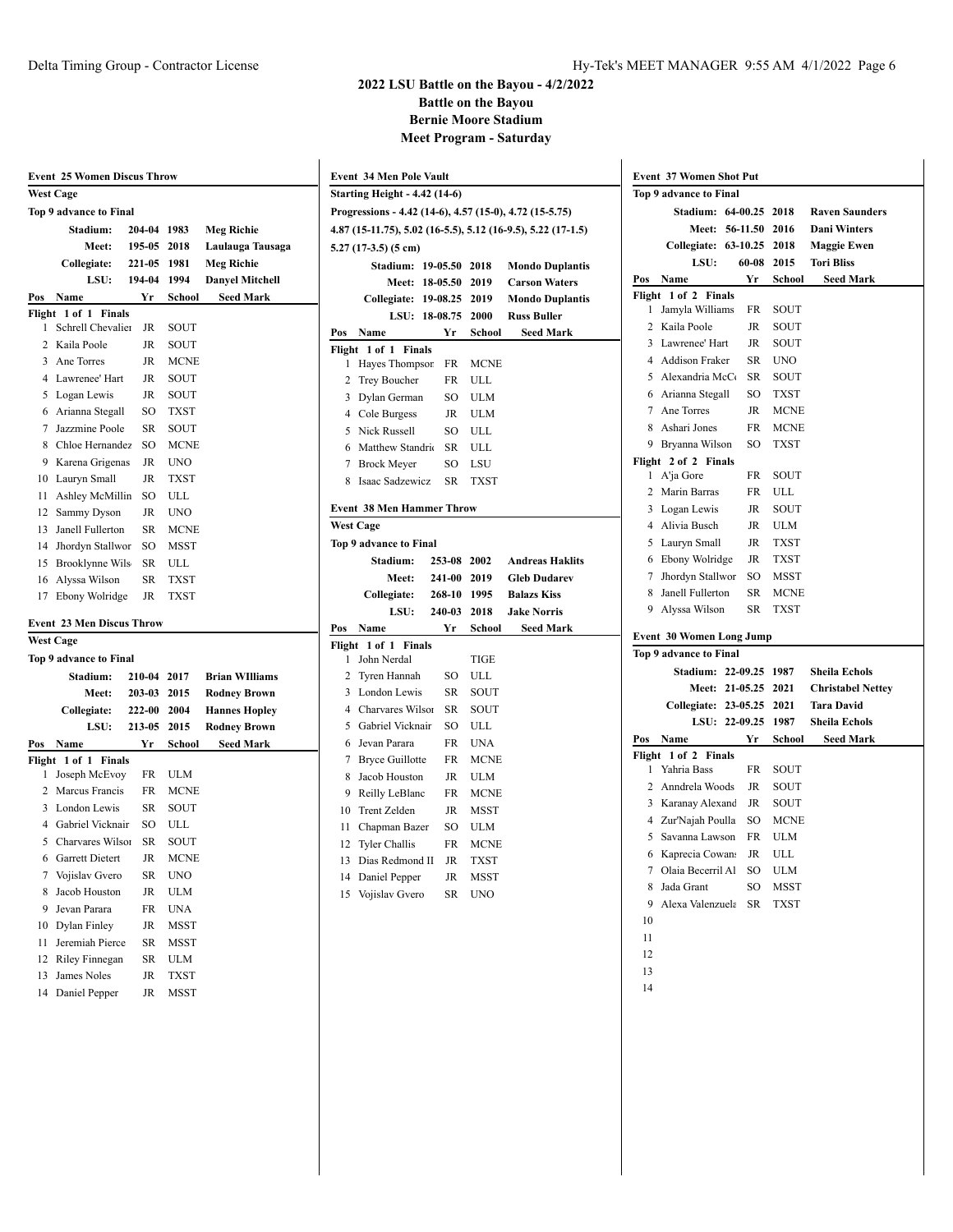|                        | <b>Event 25 Women Discus Throw</b> |             |             |                        |  |  |  |
|------------------------|------------------------------------|-------------|-------------|------------------------|--|--|--|
|                        | <b>West Cage</b>                   |             |             |                        |  |  |  |
| Top 9 advance to Final |                                    |             |             |                        |  |  |  |
|                        | Stadium:                           | 204-04 1983 |             | <b>Meg Richie</b>      |  |  |  |
|                        | <b>Meet:</b>                       | 195-05      | 2018        | Laulauga Tausaga       |  |  |  |
|                        | Collegiate:                        | 221-05      | 1981        | <b>Meg Richie</b>      |  |  |  |
|                        | LSU:                               | 194-04 1994 |             | <b>Danyel Mitchell</b> |  |  |  |
| Pos                    | Name                               | Yr          | School      | <b>Seed Mark</b>       |  |  |  |
| Flight                 | $1$ of $1$<br><b>Finals</b>        |             |             |                        |  |  |  |
| 1                      | Schrell Chevalier                  | JR          | SOUT        |                        |  |  |  |
| 2                      | Kaila Poole                        | JR          | SOUT        |                        |  |  |  |
| 3                      | Ane Torres                         | <b>JR</b>   | <b>MCNE</b> |                        |  |  |  |
| 4                      | Lawrenee' Hart                     | JR          | SOUT        |                        |  |  |  |
| 5                      | Logan Lewis                        | JR          | SOUT        |                        |  |  |  |
| 6                      | Arianna Stegall                    | SO          | <b>TXST</b> |                        |  |  |  |
| 7                      | Jazzmine Poole                     | SR          | SOUT        |                        |  |  |  |
| 8                      | Chloe Hernandez                    | SO          | <b>MCNE</b> |                        |  |  |  |
| 9                      | Karena Grigenas                    | JR          | <b>UNO</b>  |                        |  |  |  |
| 10                     | Lauryn Small                       | JR          | <b>TXST</b> |                        |  |  |  |
| 11                     | Ashley McMillin                    | SO          | ULL         |                        |  |  |  |
| 12                     | Sammy Dyson                        | JR          | <b>UNO</b>  |                        |  |  |  |
| 13                     | Janell Fullerton                   | SR          | <b>MCNE</b> |                        |  |  |  |
| 14                     |                                    |             | <b>MSST</b> |                        |  |  |  |
|                        | Jhordyn Stallwor                   | SO          |             |                        |  |  |  |
| 15                     | <b>Brooklynne Wils</b>             | SR          | ULL         |                        |  |  |  |
| 16                     | Alyssa Wilson                      | SR          | TXST        |                        |  |  |  |
| 17                     | Ebony Wolridge                     | JR          | <b>TXST</b> |                        |  |  |  |
|                        | <b>Event 23 Men Discus Throw</b>   |             |             |                        |  |  |  |
|                        | <b>West Cage</b>                   |             |             |                        |  |  |  |
|                        | Top 9 advance to Final             |             |             |                        |  |  |  |
|                        | Stadium:                           | 210-04 2017 |             | <b>Brian WIlliams</b>  |  |  |  |
|                        | <b>Meet:</b>                       | 203-03      | 2015        | <b>Rodney Brown</b>    |  |  |  |
|                        | Collegiate:                        | 222-00      | 2004        | <b>Hannes Hopley</b>   |  |  |  |
|                        | LSU:                               | 213-05      | 2015        | <b>Rodney Brown</b>    |  |  |  |
| Pos                    | Name                               | Yr          | School      | Seed Mark              |  |  |  |
|                        | Flight 1 of 1 Finals               |             |             |                        |  |  |  |
| 1                      | Joseph McEvoy                      | FR          | ULM         |                        |  |  |  |
| 2                      | Marcus Francis                     | FR          | <b>MCNE</b> |                        |  |  |  |
| 3                      | London Lewis                       | SR          | SOUT        |                        |  |  |  |
| 4                      | Gabriel Vicknair                   | SO          | ULL         |                        |  |  |  |
| 5                      | Charvares Wilson                   | SR          | SOUT        |                        |  |  |  |
| 6                      | <b>Garrett Dietert</b>             | JR          | <b>MCNE</b> |                        |  |  |  |
| 7                      | Vojislav Gvero                     | SR          | <b>UNO</b>  |                        |  |  |  |
| 8                      | Jacob Houston                      | JR          | ULM         |                        |  |  |  |
| 9                      | Jevan Parara                       | FR          | UNA         |                        |  |  |  |
| 10                     | Dylan Finley                       | JR          | MSST        |                        |  |  |  |
| 11                     | Jeremiah Pierce                    | SR          | MSST        |                        |  |  |  |
| 12                     | Riley Finnegan                     | SR          | ULM         |                        |  |  |  |
| 13                     | James Noles                        | JR          | TXST        |                        |  |  |  |
| 14                     | Daniel Pepper                      | JR          | MSST        |                        |  |  |  |
|                        |                                    |             |             |                        |  |  |  |

| <b>Event 34 Men Pole Vault</b>                               |                                      |           |             |                        |  |  |  |
|--------------------------------------------------------------|--------------------------------------|-----------|-------------|------------------------|--|--|--|
|                                                              | <b>Starting Height - 4.42 (14-6)</b> |           |             |                        |  |  |  |
| Progressions - 4.42 (14-6), 4.57 (15-0), 4.72 (15-5.75)      |                                      |           |             |                        |  |  |  |
| 4.87 (15-11.75), 5.02 (16-5.5), 5.12 (16-9.5), 5.22 (17-1.5) |                                      |           |             |                        |  |  |  |
|                                                              | $5.27(17-3.5)(5 \text{ cm})$         |           |             |                        |  |  |  |
| <b>Stadium: 19-05.50</b><br>2018<br><b>Mondo Duplantis</b>   |                                      |           |             |                        |  |  |  |
|                                                              | Meet: 18-05.50                       |           | 2019        | <b>Carson Waters</b>   |  |  |  |
|                                                              | <b>Collegiate: 19-08.25</b>          |           | 2019        | <b>Mondo Duplantis</b> |  |  |  |
|                                                              | LSU: 18-08.75                        |           | 2000        | <b>Russ Buller</b>     |  |  |  |
| Pos                                                          | Name                                 | Yr        | School      | <b>Seed Mark</b>       |  |  |  |
| Flight                                                       | 1 of 1<br><b>Finals</b>              |           |             |                        |  |  |  |
| 1                                                            | Hayes Thompsor                       | FR        | MCNE        |                        |  |  |  |
| 2                                                            | Trey Boucher                         | FR        | ULL         |                        |  |  |  |
| 3                                                            | Dylan German                         | SO        | ULM         |                        |  |  |  |
|                                                              | 4 Cole Burgess                       | JR        | <b>ULM</b>  |                        |  |  |  |
| 5                                                            | Nick Russell                         | SO        | ULL         |                        |  |  |  |
| 6                                                            | Matthew Standric                     | <b>SR</b> | ULL         |                        |  |  |  |
| 7                                                            | <b>Brock Meyer</b>                   | SO        | LSU         |                        |  |  |  |
| 8                                                            | Isaac Sadzewicz                      | <b>SR</b> | <b>TXST</b> |                        |  |  |  |
|                                                              | <b>Event 38 Men Hammer Throw</b>     |           |             |                        |  |  |  |
|                                                              | <b>West Cage</b>                     |           |             |                        |  |  |  |
|                                                              | Top 9 advance to Final               |           |             |                        |  |  |  |
|                                                              | Stadium:                             | 253-08    | 2002        | <b>Andreas Haklits</b> |  |  |  |
|                                                              | Meet:                                | 241-00    | 2019        | <b>Gleb Dudarev</b>    |  |  |  |
|                                                              | Collegiate:                          | 268-10    | 1995        | <b>Balazs Kiss</b>     |  |  |  |
|                                                              | LSU:                                 | 240-03    | 2018        | <b>Jake Norris</b>     |  |  |  |
| Pos                                                          | Name                                 | Yr        | School      | <b>Seed Mark</b>       |  |  |  |
| Flight                                                       | $1$ of $1$<br><b>Finals</b>          |           |             |                        |  |  |  |
| 1                                                            | John Nerdal                          |           | <b>TIGE</b> |                        |  |  |  |
| 2                                                            | Tyren Hannah                         | SO        | ULL         |                        |  |  |  |
| 3                                                            | London Lewis                         | SR        | SOUT        |                        |  |  |  |
| 4                                                            | Charvares Wilson                     | <b>SR</b> | SOUT        |                        |  |  |  |
| 5                                                            | Gabriel Vicknair                     | SO        | ULL         |                        |  |  |  |
| 6                                                            | Jevan Parara                         | FR        | UNA         |                        |  |  |  |
| 7                                                            | <b>Bryce Guillotte</b>               | FR        | <b>MCNE</b> |                        |  |  |  |
| 8                                                            | Jacob Houston                        | JR        | <b>ULM</b>  |                        |  |  |  |
| 9                                                            | Reilly LeBlanc                       | FR        | <b>MCNE</b> |                        |  |  |  |
| 10                                                           | <b>Trent Zelden</b>                  | JR        | <b>MSST</b> |                        |  |  |  |
| 11                                                           | Chapman Bazer                        | SO        | ULM         |                        |  |  |  |
| 12                                                           | <b>Tyler Challis</b>                 | FR        | <b>MCNE</b> |                        |  |  |  |
| 13                                                           | Dias Redmond II                      | JR        | <b>TXST</b> |                        |  |  |  |
| 14                                                           | Daniel Pepper                        | <b>JR</b> | MSST        |                        |  |  |  |
| 15                                                           | Vojislav Gvero                       | SR        | <b>UNO</b>  |                        |  |  |  |
|                                                              |                                      |           |             |                        |  |  |  |

|                | <b>Event 37 Women Shot Put</b>  |  |           |             |                          |  |  |
|----------------|---------------------------------|--|-----------|-------------|--------------------------|--|--|
|                | Top 9 advance to Final          |  |           |             |                          |  |  |
|                | <b>Stadium: 64-00.25</b>        |  |           | 2018        | <b>Raven Saunders</b>    |  |  |
|                | Meet: 56-11.50                  |  |           | 2016        | <b>Dani Winters</b>      |  |  |
|                | Collegiate: 63-10.25            |  |           | 2018        | <b>Maggie Ewen</b>       |  |  |
|                | LSU:                            |  | 60-08     | 2015        | <b>Tori Bliss</b>        |  |  |
| Pos            | Name                            |  | Yr        | School      | <b>Seed Mark</b>         |  |  |
| Flight         | 1 of 2 Finals                   |  |           |             |                          |  |  |
| 1              | Jamyla Williams                 |  | FR        | SOUT        |                          |  |  |
| 2              | Kaila Poole                     |  | JR        | SOUT        |                          |  |  |
| 3              | Lawrenee' Hart                  |  | JR        | SOUT        |                          |  |  |
| 4              | <b>Addison Fraker</b>           |  | SR        | UNO         |                          |  |  |
| 5              | Alexandria McCo                 |  | SR        | SOUT        |                          |  |  |
| 6              | Arianna Stegall                 |  | SO        | TXST        |                          |  |  |
|                | 7 Ane Torres                    |  | JR        | <b>MCNE</b> |                          |  |  |
|                | 8 Ashari Jones                  |  | FR        | <b>MCNE</b> |                          |  |  |
|                | 9 Bryanna Wilson                |  | SO        | <b>TXST</b> |                          |  |  |
|                | Flight 2 of 2 Finals            |  |           |             |                          |  |  |
| 1              | A'ja Gore                       |  | FR        | SOUT        |                          |  |  |
| 2              | Marin Barras                    |  | FR        | ULL         |                          |  |  |
| 3              | Logan Lewis                     |  | JR        | SOUT        |                          |  |  |
| 4              | Alivia Busch                    |  | JR        | ULM         |                          |  |  |
| 5              | Lauryn Small                    |  | JR        | <b>TXST</b> |                          |  |  |
|                | 6 Ebony Wolridge                |  | JR        | TXST        |                          |  |  |
| 7              | Jhordyn Stallwor                |  | SO        | MSST        |                          |  |  |
| 8              | Janell Fullerton                |  | SR        | <b>MCNE</b> |                          |  |  |
| 9              | Alyssa Wilson                   |  | <b>SR</b> | TXST        |                          |  |  |
|                | <b>Event 30 Women Long Jump</b> |  |           |             |                          |  |  |
|                | Top 9 advance to Final          |  |           |             |                          |  |  |
|                | <b>Stadium: 22-09.25</b>        |  |           | 1987        | <b>Sheila Echols</b>     |  |  |
|                | Meet: 21-05.25                  |  |           | 2021        | <b>Christabel Nettey</b> |  |  |
|                | <b>Collegiate: 23-05.25</b>     |  |           | 2021        |                          |  |  |
|                |                                 |  |           |             | <b>Tara David</b>        |  |  |
|                | LSU: 22-09.25                   |  |           | 1987        | <b>Sheila Echols</b>     |  |  |
| Pos            | Name                            |  | Yr        | School      | <b>Seed Mark</b>         |  |  |
| Flight         | 1 of 2 Finals                   |  |           |             |                          |  |  |
| 1              | Yahria Bass                     |  | FR        | SOUT        |                          |  |  |
| 2              | Anndrela Woods                  |  | JR        | SOUT        |                          |  |  |
| 3              | Karanay Alexand                 |  | JR        | SOUT        |                          |  |  |
| $\overline{4}$ | Zur'Najah Poulla                |  | SO        | <b>MCNE</b> |                          |  |  |
| 5              | Savanna Lawson                  |  | FR        | ULM         |                          |  |  |
| 6              | Kaprecia Cowan:                 |  | JR        | ULL         |                          |  |  |
| 7              | Olaia Becerril Al               |  | SO        | ULM         |                          |  |  |
| 8              | Jada Grant                      |  | SO        | MSST        |                          |  |  |
| 9              | Alexa Valenzuela                |  | SR        | TXST        |                          |  |  |
| 10             |                                 |  |           |             |                          |  |  |
| 11             |                                 |  |           |             |                          |  |  |
| 12             |                                 |  |           |             |                          |  |  |
| 13             |                                 |  |           |             |                          |  |  |
| 14             |                                 |  |           |             |                          |  |  |
|                |                                 |  |           |             |                          |  |  |
|                |                                 |  |           |             |                          |  |  |
|                |                                 |  |           |             |                          |  |  |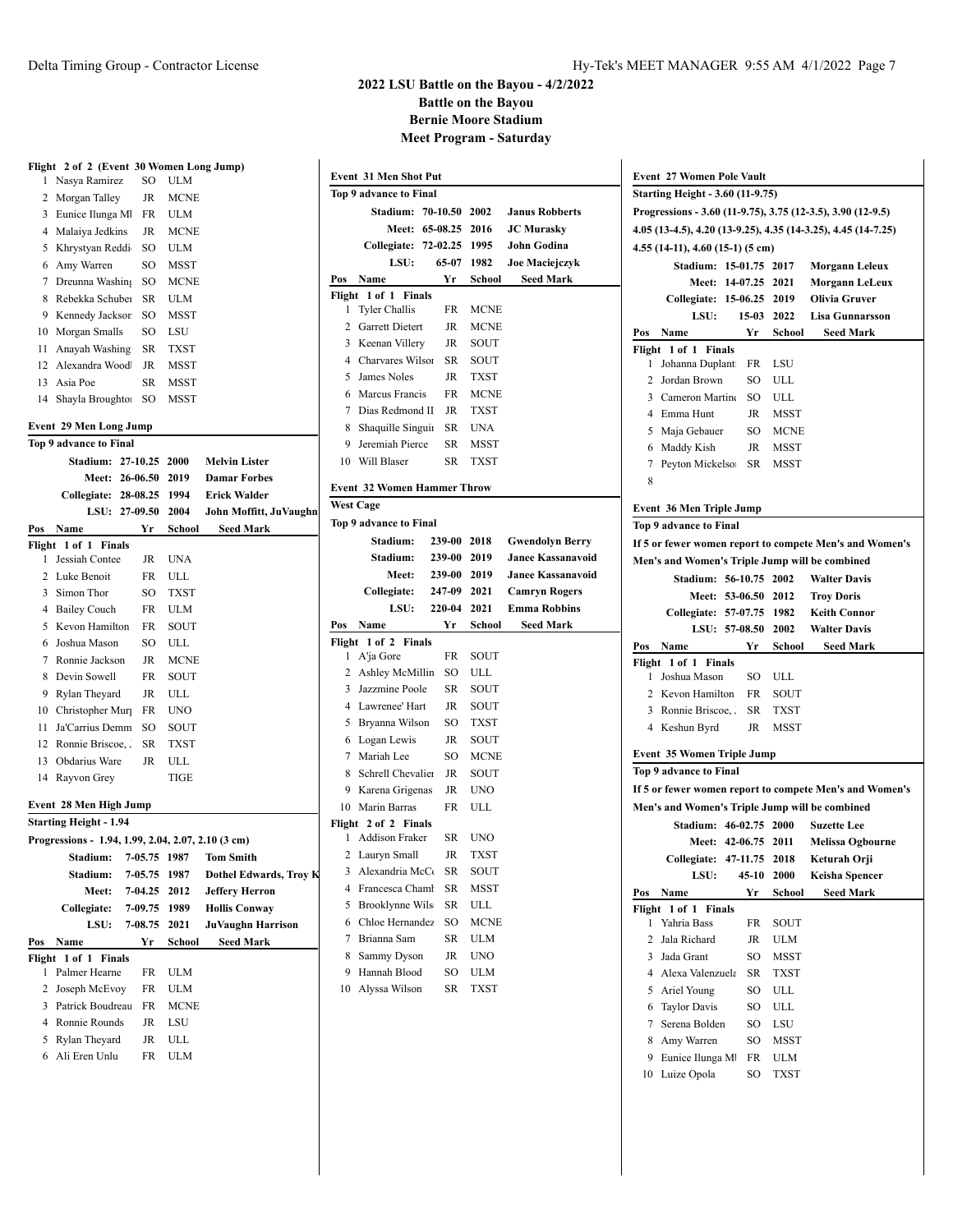|          | Flight 2 of 2 (Event 30 Women Long Jump)           |              |                     |                          |     |                  |
|----------|----------------------------------------------------|--------------|---------------------|--------------------------|-----|------------------|
| 1        | Nasya Ramirez                                      | SO           | ULM                 |                          |     | Event 31 M       |
| 2        | Morgan Talley                                      | JR           | <b>MCNE</b>         |                          |     | Top 9 advan      |
| 3        | Eunice Ilunga M                                    | FR           | <b>ULM</b>          |                          |     | Sta              |
|          | 4 Malaiya Jedkins                                  | JR           | <b>MCNE</b>         |                          |     |                  |
|          | 5 Khrystyan Reddi                                  | SO           | ULM                 |                          |     | Colle            |
|          |                                                    | SO           |                     |                          |     |                  |
| 6<br>7   | Amy Warren                                         | SO           | MSST<br><b>MCNE</b> |                          | Pos | Name             |
|          | Dreunna Washing<br>Rebekka Schuber                 |              |                     |                          |     | Flight 1 of      |
| 8        |                                                    | SR           | ULM                 |                          | 1   | Tyler (          |
| 9        | Kennedy Jacksor                                    | SO           | MSST                |                          |     | 2 Garret         |
| 10       | Morgan Smalls                                      | SO           | LSU                 |                          |     | 3 Keena          |
| 11<br>12 | Anayah Washing<br>Alexandra Wood                   | SR<br>JR     | TXST<br><b>MSST</b> |                          |     | 4 Charva         |
|          | Asia Poe                                           |              |                     |                          | 5   | James            |
| 13       |                                                    | SR           | MSST                |                          |     | 6 Marcu          |
|          | 14 Shayla Broughto:                                | SO           | MSST                |                          |     | 7 Dias R         |
|          | <b>Event 29 Men Long Jump</b>                      |              |                     |                          |     | 8 Shaqui         |
|          | Top 9 advance to Final                             |              |                     |                          |     | 9 Jeremi         |
|          | Stadium: 27-10.25 2000                             |              |                     | <b>Melvin Lister</b>     |     | 10 Will B        |
|          | <b>Meet: 26-06.50 2019</b>                         |              |                     | <b>Damar Forbes</b>      |     |                  |
|          | Collegiate: 28-08.25 1994                          |              |                     | <b>Erick Walder</b>      |     | Event 32 W       |
|          | LSU: 27-09.50                                      |              | 2004                | John Moffitt, JuVaughn   |     | <b>West Cage</b> |
| Pos      | Name                                               | Yr           | School              | <b>Seed Mark</b>         |     | Top 9 advan      |
|          | Flight 1 of 1 Finals                               |              |                     |                          |     | Sta              |
| 1        | Jessiah Contee                                     | JR           | <b>UNA</b>          |                          |     | Sta              |
| 2        | Luke Benoit                                        | FR           | ULL                 |                          |     |                  |
| 3        | Simon Thor                                         | SO           | <b>TXST</b>         |                          |     | Colle            |
| 4        | <b>Bailey Couch</b>                                | FR           | ULM                 |                          |     |                  |
| 5        | Kevon Hamilton                                     | FR           | SOUT                |                          | Pos | Name             |
| 6        | Joshua Mason                                       | SO           | ULL                 |                          |     | Flight 1 of      |
|          | 7 Ronnie Jackson                                   | JR           | <b>MCNE</b>         |                          | 1   | A'ja G           |
| 8        | Devin Sowell                                       | FR           | SOUT                |                          |     | 2 Ashley         |
| 9        | Rylan Theyard                                      | JR           | ULL                 |                          |     | 3 Jazzmi         |
| 10       | Christopher Mur                                    | FR           | <b>UNO</b>          |                          |     | 4 Lawre          |
| 11       | Ja'Carrius Demm                                    | SO           | SOUT                |                          |     | 5 Bryanı         |
|          | 12 Ronnie Briscoe,.                                | SR           | <b>TXST</b>         |                          |     | 6 Logan          |
| 13       | Obdarius Ware                                      | JR           | ULL                 |                          |     | 7 Marial         |
|          | 14 Rayvon Grey                                     |              | TIGE                |                          |     | 8 Schrel         |
|          |                                                    |              |                     |                          |     | 9 Karena         |
|          | Event 28 Men High Jump                             |              |                     |                          |     | 10 Marin         |
|          | <b>Starting Height - 1.94</b>                      |              |                     |                          |     | Flight 2 of      |
|          | Progressions - 1.94, 1.99, 2.04, 2.07, 2.10 (3 cm) |              |                     |                          | 1   | Addisc           |
|          | Stadium:                                           | 7-05.75 1987 |                     | Tom Smith                |     | 2 Lauryr         |
|          | Stadium:                                           | 7-05.75      | 1987                | Dothel Edwards, Troy K   | 3   | Alexar           |
|          | Meet:                                              | 7-04.25      | 2012                | <b>Jeffery Herron</b>    |     | 4 France         |
|          | Collegiate:                                        | 7-09.75      | 1989                | <b>Hollis Conway</b>     | 5   | Brookl           |
|          | LSU:                                               | 7-08.75      | 2021                | <b>JuVaughn Harrison</b> |     | 6 Chloe          |
| Pos      | Name                                               | Yr           | School              | <b>Seed Mark</b>         | 7   | Briann           |
| Flight   | $1$ of $1$<br><b>Finals</b>                        |              |                     |                          | 8   | Samm             |
| 1        | Palmer Hearne                                      | FR           | <b>ULM</b>          |                          | 9   | Hanna            |
| 2        | Joseph McEvoy                                      | FR           | ULM                 |                          | 10  | Alyssa           |
| 3        | Patrick Boudreau                                   | FR           | <b>MCNE</b>         |                          |     |                  |
|          | 4 Ronnie Rounds                                    | JR           | LSU                 |                          |     |                  |
| 5        | Rylan Theyard                                      | JR           | ULL                 |                          |     |                  |
| 6        | Ali Eren Unlu                                      | FR           | ULM                 |                          |     |                  |
|          |                                                    |              |                     |                          |     |                  |
|          |                                                    |              |                     |                          |     |                  |

| <b>Event 31 Men Shot Put</b> |                                                   |  |        |             |                          |  |
|------------------------------|---------------------------------------------------|--|--------|-------------|--------------------------|--|
| Top 9 advance to Final       |                                                   |  |        |             |                          |  |
|                              | <b>Stadium: 70-10.50</b>                          |  |        | 2002        | <b>Janus Robberts</b>    |  |
|                              | Meet: 65-08.25 2016                               |  |        |             | <b>JC Murasky</b>        |  |
|                              | Collegiate: 72-02.25 1995                         |  |        |             | <b>John Godina</b>       |  |
|                              | LSU:                                              |  | 65-07  | 1982        | <b>Joe Maciejczyk</b>    |  |
| Pos                          | Name                                              |  | Yr     | School      | <b>Seed Mark</b>         |  |
| Flight                       | 1 of 1 Finals                                     |  |        |             |                          |  |
| 1                            | <b>Tyler Challis</b>                              |  | FR     | MCNE        |                          |  |
| 2                            | Garrett Dietert                                   |  | JR     | MCNE        |                          |  |
| 3                            | Keenan Villery                                    |  | JR     | SOUT        |                          |  |
|                              | 4 Charvares Wilson                                |  | SR     | SOUT        |                          |  |
| 5                            | James Noles                                       |  | JR     | <b>TXST</b> |                          |  |
|                              | 6 Marcus Francis                                  |  | FR     | <b>MCNE</b> |                          |  |
|                              | 7 Dias Redmond II                                 |  | JR     | <b>TXST</b> |                          |  |
|                              | 8 Shaquille Singuir                               |  | SR     | <b>UNA</b>  |                          |  |
|                              | 9 Jeremiah Pierce                                 |  | SR     | MSST        |                          |  |
|                              | 10 Will Blaser                                    |  | SR     | TXST        |                          |  |
|                              | <b>Event 32 Women Hammer Throw</b>                |  |        |             |                          |  |
|                              |                                                   |  |        |             |                          |  |
|                              | <b>West Cage</b><br><b>Top 9 advance to Final</b> |  |        |             |                          |  |
|                              | Stadium:                                          |  |        |             |                          |  |
|                              |                                                   |  | 239-00 | 2018        | <b>Gwendolyn Berry</b>   |  |
|                              | Stadium:                                          |  |        | 239-00 2019 | <b>Janee Kassanavoid</b> |  |
|                              | Meet:                                             |  |        | 239-00 2019 | <b>Janee Kassanavoid</b> |  |
|                              | Collegiate:                                       |  | 247-09 | 2021        | <b>Camryn Rogers</b>     |  |
|                              | LSU:                                              |  | 220-04 | 2021        | <b>Emma Robbins</b>      |  |
| Pos                          | Name<br>Flight 1 of 2 Finals                      |  | Yr     | School      | Seed Mark                |  |
| 1                            | A'ja Gore                                         |  | FR     | SOUT        |                          |  |
|                              | 2 Ashley McMillin                                 |  | SO     | ULL         |                          |  |
|                              | 3 Jazzmine Poole                                  |  | SR     | SOUT        |                          |  |
|                              | 4 Lawrenee' Hart                                  |  | JR     | SOUT        |                          |  |
|                              | 5 Bryanna Wilson                                  |  | SO     | TXST        |                          |  |
|                              | 6 Logan Lewis                                     |  | JR     | SOUT        |                          |  |
|                              | 7 Mariah Lee                                      |  | SO     | MCNE        |                          |  |
|                              | 8 Schrell Chevalier                               |  | JR     | SOUT        |                          |  |
|                              | 9 Karena Grigenas                                 |  | JR     | <b>UNO</b>  |                          |  |
|                              | 10 Marin Barras                                   |  | FR     | ULL         |                          |  |
|                              | Flight 2 of 2 Finals                              |  |        |             |                          |  |
| 1                            | Addison Fraker                                    |  | SR     | <b>UNO</b>  |                          |  |
| 2                            | Lauryn Small                                      |  | JR     | <b>TXST</b> |                          |  |
| 3                            | Alexandria McCo                                   |  | SR     | SOUT        |                          |  |
| 4                            | Francesca Chaml                                   |  | SR     | MSST        |                          |  |
| 5                            | Brooklynne Wils                                   |  | SR     | ULL         |                          |  |
| 6                            | Chloe Hernandez                                   |  | SO     | MCNE        |                          |  |
| 7                            | Brianna Sam                                       |  | SR     | <b>ULM</b>  |                          |  |
| 8                            | Sammy Dyson                                       |  | JR     | UNO         |                          |  |
| 9                            | Hannah Blood                                      |  | SO     | ULM         |                          |  |
| 10                           | Alyssa Wilson                                     |  | SR     | TXST        |                          |  |
|                              |                                                   |  |        |             |                          |  |

|        | <b>Event 27 Women Pole Vault</b><br><b>Starting Height - 3.60 (11-9.75)</b>                                                  |                            |              |                                                         |  |  |  |  |
|--------|------------------------------------------------------------------------------------------------------------------------------|----------------------------|--------------|---------------------------------------------------------|--|--|--|--|
|        |                                                                                                                              |                            |              |                                                         |  |  |  |  |
|        | Progressions - 3.60 (11-9.75), 3.75 (12-3.5), 3.90 (12-9.5)<br>4.05 (13-4.5), 4.20 (13-9.25), 4.35 (14-3.25), 4.45 (14-7.25) |                            |              |                                                         |  |  |  |  |
|        | 4.55 (14-11), 4.60 (15-1) (5 cm)                                                                                             |                            |              |                                                         |  |  |  |  |
|        | Stadium: 15-01.75 2017<br><b>Morgann Leleux</b>                                                                              |                            |              |                                                         |  |  |  |  |
|        |                                                                                                                              | <b>Meet: 14-07.25 2021</b> |              | <b>Morgann LeLeux</b>                                   |  |  |  |  |
|        | Collegiate: 15-06.25 2019                                                                                                    |                            |              | <b>Olivia Gruver</b>                                    |  |  |  |  |
|        | LSU:                                                                                                                         |                            | 15-03 2022   | <b>Lisa Gunnarsson</b>                                  |  |  |  |  |
| Pos    | Name                                                                                                                         | Yr                         | School       | <b>Seed Mark</b>                                        |  |  |  |  |
| Flight | 1 of 1<br><b>Finals</b>                                                                                                      |                            |              |                                                         |  |  |  |  |
| 1      | Johanna Duplant                                                                                                              | FR                         | LSU          |                                                         |  |  |  |  |
| 2      | Jordan Brown                                                                                                                 | SO                         | ULL          |                                                         |  |  |  |  |
| 3      | Cameron Martine                                                                                                              | SO.                        | ULL          |                                                         |  |  |  |  |
|        | 4 Emma Hunt                                                                                                                  | JR                         | MSST         |                                                         |  |  |  |  |
| 5      | Maja Gebauer                                                                                                                 | SO                         | <b>MCNE</b>  |                                                         |  |  |  |  |
| 6      | Maddy Kish                                                                                                                   | JR                         | <b>MSST</b>  |                                                         |  |  |  |  |
| 7      | Peyton Mickelso:                                                                                                             | SR                         | <b>MSST</b>  |                                                         |  |  |  |  |
| 8      |                                                                                                                              |                            |              |                                                         |  |  |  |  |
|        |                                                                                                                              |                            |              |                                                         |  |  |  |  |
|        | <b>Event 36 Men Triple Jump</b>                                                                                              |                            |              |                                                         |  |  |  |  |
|        | Top 9 advance to Final                                                                                                       |                            |              |                                                         |  |  |  |  |
|        |                                                                                                                              |                            |              | If 5 or fewer women report to compete Men's and Women's |  |  |  |  |
|        | Men's and Women's Triple Jump will be combined                                                                               |                            |              |                                                         |  |  |  |  |
|        | Stadium: 56-10.75 2002                                                                                                       |                            |              | <b>Walter Davis</b>                                     |  |  |  |  |
|        |                                                                                                                              | <b>Meet: 53-06.50 2012</b> |              | <b>Troy Doris</b>                                       |  |  |  |  |
|        | Collegiate: 57-07.75 1982                                                                                                    |                            |              | <b>Keith Connor</b>                                     |  |  |  |  |
|        |                                                                                                                              | LSU: 57-08.50 2002         |              | <b>Walter Davis</b>                                     |  |  |  |  |
| Pos    | Name                                                                                                                         |                            | Yr School    | <b>Seed Mark</b>                                        |  |  |  |  |
| 1      | Flight 1 of 1 Finals<br>Joshua Mason                                                                                         | SO                         | ULL          |                                                         |  |  |  |  |
|        | 2 Kevon Hamilton                                                                                                             | FR                         |              |                                                         |  |  |  |  |
| 3      | Ronnie Briscoe,.                                                                                                             | SR                         | SOUT<br>TXST |                                                         |  |  |  |  |
|        | 4 Keshun Byrd                                                                                                                | JR                         | MSST         |                                                         |  |  |  |  |
|        |                                                                                                                              |                            |              |                                                         |  |  |  |  |
|        | <b>Event 35 Women Triple Jump</b>                                                                                            |                            |              |                                                         |  |  |  |  |
|        | Top 9 advance to Final                                                                                                       |                            |              |                                                         |  |  |  |  |
|        |                                                                                                                              |                            |              | If 5 or fewer women report to compete Men's and Women's |  |  |  |  |
|        | Men's and Women's Triple Jump will be combined                                                                               |                            |              |                                                         |  |  |  |  |
|        | Stadium: 46-02.75 2000                                                                                                       |                            |              |                                                         |  |  |  |  |
|        |                                                                                                                              |                            |              | <b>Suzette Lee</b>                                      |  |  |  |  |
|        |                                                                                                                              | Meet: 42-06.75 2011        |              | <b>Melissa Ogbourne</b>                                 |  |  |  |  |
|        |                                                                                                                              |                            |              |                                                         |  |  |  |  |
|        | Collegiate: 47-11.75 2018<br><b>LSU:</b>                                                                                     | 45-10                      | 2000         | Keturah Orji<br>Keisha Spencer                          |  |  |  |  |
| Pos    | Name                                                                                                                         | Yr                         | School       | <b>Seed Mark</b>                                        |  |  |  |  |
| Flight | 1 of 1<br>Finals                                                                                                             |                            |              |                                                         |  |  |  |  |
| 1      | Yahria Bass                                                                                                                  | FR                         | SOUT         |                                                         |  |  |  |  |
| 2      | Jala Richard                                                                                                                 | JR                         | ULM          |                                                         |  |  |  |  |
| 3      | Jada Grant                                                                                                                   | SO                         | MSST         |                                                         |  |  |  |  |
| 4      | Alexa Valenzuela                                                                                                             | SR                         | TXST         |                                                         |  |  |  |  |
| 5      | Ariel Young                                                                                                                  | SO                         | ULL          |                                                         |  |  |  |  |
| 6      | <b>Taylor Davis</b>                                                                                                          | SO                         | ULL          |                                                         |  |  |  |  |
| 7      | Serena Bolden                                                                                                                | SO                         | LSU          |                                                         |  |  |  |  |
| 8      | Amy Warren                                                                                                                   | SO                         | <b>MSST</b>  |                                                         |  |  |  |  |
| 9      | Eunice Ilunga MI                                                                                                             | FR                         | ULM          |                                                         |  |  |  |  |
| 10     | Luize Opola                                                                                                                  | SO                         | TXST         |                                                         |  |  |  |  |
|        |                                                                                                                              |                            |              |                                                         |  |  |  |  |